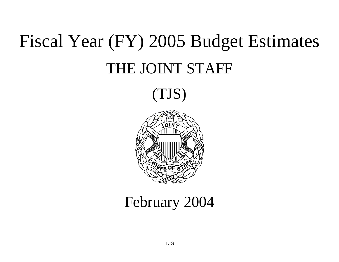# Fiscal Year (FY) 2005 Budget Estimates THE JOINT STAFF

(TJS)



# February 2004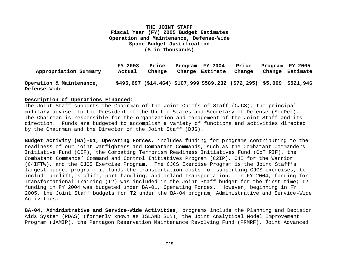| Appropriation Summary                           | FY 2003<br>Actual | Price<br>Change | Program FY 2004<br>Change Estimate | Price<br>Change                                                       | Change | Program FY 2005<br>Estimate |
|-------------------------------------------------|-------------------|-----------------|------------------------------------|-----------------------------------------------------------------------|--------|-----------------------------|
| Operation & Maintenance,<br><b>Defense-Wide</b> |                   |                 |                                    | \$495,697 (\$14,464) \$107,999 \$589,232 (\$72,295) \$5,009 \$521,946 |        |                             |

#### **Description of Operations Financed:**

The Joint Staff supports the Chairman of the Joint Chiefs of Staff (CJCS), the principal military adviser to the President of the United States and Secretary of Defense (SecDef). The Chairman is responsible for the organization and management of the Joint Staff and its direction. Funds are budgeted to accomplish a variety of functions and activities directed by the Chairman and the Director of the Joint Staff (DJS).

**Budget Activity (BA)-01, Operating Forces,** includes funding for programs contributing to the readiness of our joint warfighters and Combatant Commands, such as the Combatant Commanders Initiative Fund (CIF), the Combating Terrorism Readiness Initiatives Fund (CbT RIF), the Combatant Commands' Command and Control Initiatives Program (C2IP), C4I for the Warrior (C4IFTW), and the CJCS Exercise Program. The CJCS Exercise Program is the Joint Staff's largest budget program; it funds the transportation costs for supporting CJCS exercises, to include airlift, sealift, port handling, and inland transportation. In FY 2004, funding for Transformational Training (T2) was included in the Joint Staff budget for the first time; T2 funding in FY 2004 was budgeted under BA-01, Operating Forces. However, beginning in FY 2005, the Joint Staff budgets for T2 under the BA-04 program, Administrative and Service-Wide Activities.

**BA-04, Administrative and Service-Wide Activities,** programs include the Planning and Decision Aids System (PDAS) (formerly known as ISLAND SUN), the Joint Analytical Model Improvement Program (JAMIP), the Pentagon Reservation Maintenance Revolving Fund (PRMRF), Joint Advanced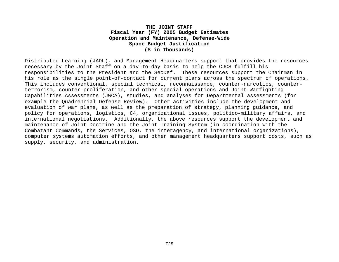Distributed Learning (JADL), and Management Headquarters support that provides the resources necessary by the Joint Staff on a day-to-day basis to help the CJCS fulfill his responsibilities to the President and the SecDef. These resources support the Chairman in his role as the single point-of-contact for current plans across the spectrum of operations. This includes conventional, special technical, reconnaissance, counter-narcotics, counterterrorism, counter-proliferation, and other special operations and Joint Warfighting Capabilities Assessments (JWCA), studies, and analyses for Departmental assessments (for example the Quadrennial Defense Review). Other activities include the development and evaluation of war plans, as well as the preparation of strategy, planning guidance, and policy for operations, logistics, C4, organizational issues, politico-military affairs, and international negotiations. Additionally, the above resources support the development and maintenance of Joint Doctrine and the Joint Training System (in coordination with the Combatant Commands, the Services, OSD, the interagency, and international organizations), computer systems automation efforts, and other management headquarters support costs, such as supply, security, and administration.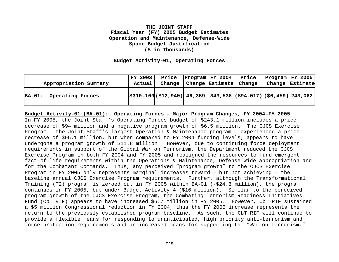**Budget Activity-01, Operating Forces**

|                              | FY 2003 | Price  | $ Program  FY 2004 $ Price |                                                                          |        | $P_{\text{rogram}}$ $FY$ 2005 |
|------------------------------|---------|--------|----------------------------|--------------------------------------------------------------------------|--------|-------------------------------|
| Appropriation Summary        | Actual  | Change | Change Estimate            | Change                                                                   | Change | Estimate                      |
| $BA-01:$<br>Operating Forces |         |        |                            | $ \$310,109 \$ $($12,940)$ 46,369 343,538 $ $94,017)$ $ $6,459]$ 243,062 |        |                               |

**Budget Activity-01 (BA-01): Operating Forces – Major Program Changes, FY 2004-FY 2005** In FY 2005, the Joint Staff's Operating Forces budget of \$243.1 million includes a price decrease of \$94 million and a negative program growth of \$6.5 million. The CJCS Exercise Program – the Joint Staff's largest Operation & Maintenance program – experienced a price decrease of \$95.1 million, but when compared to FY 2004 funding levels, appears to have undergone a program growth of \$11.8 million. However, due to continuing force deployment requirements in support of the Global War on Terrorism, the Department reduced the CJCS Exercise Program in both FY 2004 and FY 2005 and realigned the resources to fund emergent fact-of-life requirements within the Operations & Maintenance, Defense-Wide appropriation and for the Combatant Commands. Thus, any perceived "program growth" to the CJCS Exercise Program in FY 2005 only represents marginal increases toward – but not achieving – the baseline annual CJCS Exercise Program requirements. Further, although the Transformational Training (T2) program is zeroed out in FY 2005 within BA-01 (-\$24.8 million), the program continues in FY 2005, but under Budget Activity 4 (\$16 million). Similar to the perceived program growth of the CJCS Exercise Program, the Combating Terrorism Readiness Initiatives Fund (CbT RIF) appears to have increased \$6.7 million in FY 2005. However, CbT RIF sustained a \$5 million Congressional reduction in FY 2004, thus the FY 2005 increase represents the return to the previously established program baseline. As such, the CbT RIF will continue to provide a flexible means for responding to unanticipated, high priority anti-terrorism and force protection requirements and an increased means for supporting the "War on Terrorism."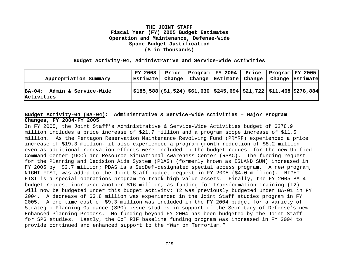#### **Budget Activity-04, Administrative and Service-Wide Activities**

|                                           | FY 2003  | Price  | Program FY 2004 Price Program FY 2005                                                                                      |  |                 |
|-------------------------------------------|----------|--------|----------------------------------------------------------------------------------------------------------------------------|--|-----------------|
| Appropriation Summary                     | Estimate | Change | Change   Estimate   Change                                                                                                 |  | Change Estimate |
| BA-04: Admin & Service-Wide<br>Activities |          |        | $\vert$ \$185,588 $\vert$ (\$1,524) $\vert$ \$61,630 $\vert$ \$245,694 $\vert$ \$21,722 $\vert$ \$11,468 $\vert$ \$278,884 |  |                 |

# **Budget Activity-04 (BA-04): Administrative & Service-Wide Activities – Major Program Changes, FY 2004-FY 2005**

In FY 2005, the Joint Staff's Administrative & Service-Wide Activities budget of \$278.9 million includes a price increase of \$21.7 million and a program scope increase of \$11.5 million. As the Pentagon Reservation Maintenance Revolving Fund (PRMRF) experienced a price increase of \$19.3 million, it also experienced a program growth reduction of \$8.2 million – even as additional renovation efforts were included in the budget request for the new Unified Command Center (UCC) and Resource Situational Awareness Center (RSAC). The funding request for the Planning and Decision Aids System (PDAS) (formerly known as ISLAND SUN) increased in FY 2005 by +\$2.7 million; PDAS is a SecDef-designated special access program. A new program, NIGHT FIST, was added to the Joint Staff budget request in FY 2005 (\$4.0 million). NIGHT FIST is a special operations program to track high value assets. Finally, the FY 2005 BA 4 budget request increased another \$16 million, as funding for Transformation Training (T2) will now be budgeted under this budget activity; T2 was previously budgeted under BA-01 in FY 2004. A decrease of \$3.8 million was experienced in the Joint Staff studies program in FY 2005. A one-time cost of \$9.3 million was included in the FY 2004 budget for a variety of Strategic Planning Guidance (SPG) issue studies in support of the Secretary of Defense's new Enhanced Planning Process. No funding beyond FY 2004 has been budgeted by the Joint Staff for SPG studies. Lastly, the CbT RIF baseline funding program was increased in FY 2004 to provide continued and enhanced support to the "War on Terrorism."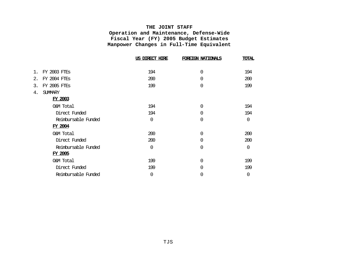#### **THE JOINT STAFF**

**Operation and Maintenance, Defense-Wide Fiscal Year (FY) 2005 Budget Estimates Manpower Changes in Full-Time Equivalent**

|    |                     | US DIRECT HIRE | FOREIGN NATIONALS | <b>TOTAL</b> |
|----|---------------------|----------------|-------------------|--------------|
| 1. | <b>FY 2003 FTES</b> | 194            | $\mathbf 0$       | 194          |
| 2. | <b>FY 2004 FTES</b> | 200            | $\mathbf 0$       | 200          |
| 3. | <b>FY 2005 FTES</b> | 199            | $\mathbf 0$       | 199          |
| 4. | <b>SUMMARY</b>      |                |                   |              |
|    | <b>FY 2003</b>      |                |                   |              |
|    | O&M Total           | 194            | $\Omega$          | 194          |
|    | Direct Funded       | 194            | 0                 | 194          |
|    | Reimbursable Funded | $\Omega$       | $\mathbf 0$       | 0            |
|    | <b>FY 2004</b>      |                |                   |              |
|    | O&M Total           | 200            | 0                 | 200          |
|    | Direct Funded       | 200            | $\overline{0}$    | 200          |
|    | Reimbursable Funded | $\overline{0}$ | $\overline{0}$    | $\Omega$     |
|    | <b>FY 2005</b>      |                |                   |              |
|    | O&M Total           | 199            | 0                 | 199          |
|    | Direct Funded       | 199            | 0                 | 199          |
|    | Reimbursable Funded | 0              | 0                 | 0            |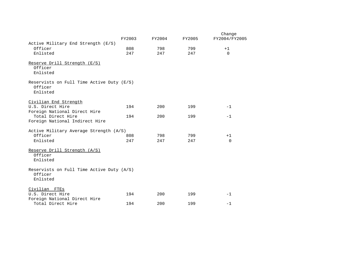|                                           |        |        |        | Change        |
|-------------------------------------------|--------|--------|--------|---------------|
|                                           | FY2003 | FY2004 | FY2005 | FY2004/FY2005 |
| Active Military End Strength (E/S)        |        |        |        |               |
| Officer                                   | 808    | 798    | 799    | $+1$          |
| Enlisted                                  | 247    | 247    | 247    | $\Omega$      |
|                                           |        |        |        |               |
| Reserve Drill Strength (E/S)<br>Officer   |        |        |        |               |
| Enlisted                                  |        |        |        |               |
|                                           |        |        |        |               |
| Reservists on Full Time Active Duty (E/S) |        |        |        |               |
| Officer                                   |        |        |        |               |
| Enlisted                                  |        |        |        |               |
| Civilian End Strength                     |        |        |        |               |
| U.S. Direct Hire                          | 194    | 200    | 199    | $-1$          |
| Foreign National Direct Hire              |        |        |        |               |
| Total Direct Hire                         | 194    | 200    | 199    | $-1$          |
| Foreign National Indirect Hire            |        |        |        |               |
|                                           |        |        |        |               |
| Active Military Average Strength (A/S)    |        |        |        |               |
| Officer                                   | 808    | 798    | 799    | $+1$          |
| Enlisted                                  | 247    | 247    | 247    | $\Omega$      |
|                                           |        |        |        |               |
| Reserve Drill Strength (A/S)              |        |        |        |               |
| Officer                                   |        |        |        |               |
| Enlisted                                  |        |        |        |               |
| Reservists on Full Time Active Duty (A/S) |        |        |        |               |
| Officer                                   |        |        |        |               |
| Enlisted                                  |        |        |        |               |
|                                           |        |        |        |               |
| Civilian FTEs                             |        |        |        |               |
| U.S. Direct Hire                          | 194    | 200    | 199    | $-1$          |
| Foreign National Direct Hire              |        |        |        |               |
| Total Direct Hire                         | 194    | 200    | 199    | $-1$          |
|                                           |        |        |        |               |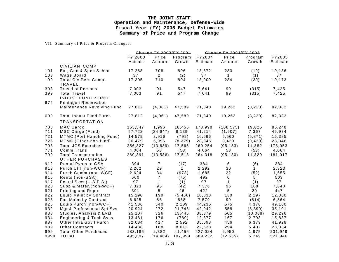#### **THE JOINT STAFF Operation and Maintenance, Defense-Wide Fiscal Year (FY) 2005 Budget Estimates Summary of Price and Program Change**

VII. Summary of Price & Program Changes:

|      |                                                       |         | Change FY 2003/FY 2004 |              |          | Change FY 2004/FY 2005 |           |          |
|------|-------------------------------------------------------|---------|------------------------|--------------|----------|------------------------|-----------|----------|
|      |                                                       | FY 2003 | Price                  | Program      | FY2004   | Price                  | Program   | FY2005   |
|      |                                                       | Actuals | Amount                 | Growth       | Estimate | Amount                 | Growth    | Estimate |
|      | CIVILIAN COMP                                         |         |                        |              |          |                        |           |          |
| 101  | Ex., Gen & Spec Sched                                 | 17,268  | 708                    | 896          | 18,872   | 283                    | (19)      | 19,136   |
| 103  | Wage Board                                            | 37      | $\overline{2}$         | (2)          | 37       | $\mathbf{1}$           | (1)       | 37       |
| 199  | Total Civ Pers Comp.<br><b>TRAVEL</b>                 | 17,305  | 710                    | 894          | 18,909   | 284                    | (20)      | 19,173   |
| 308  | <b>Travel of Persons</b>                              | 7,003   | 91                     | 547          | 7,641    | 99                     | (315)     | 7,425    |
| 399  | <b>Total Travel</b>                                   | 7,003   | 91                     | 547          | 7,641    | 99                     | (315)     | 7,425    |
|      | <b>INDUST FUND PURCH</b>                              |         |                        |              |          |                        |           |          |
| 672  | Pentagon Reservation                                  |         |                        |              |          |                        |           |          |
|      | Maintenance Revolving Fund                            | 27,812  | (4,061)                | 47,589       | 71,340   | 19,262                 | (8, 220)  | 82,382   |
| 699  | <b>Total Indust Fund Purch</b>                        | 27,812  | (4,061)                | 47,589       | 71,340   | 19,262                 | (8, 220)  | 82,382   |
|      | <b>TRANSPORTATION</b>                                 |         |                        |              |          |                        |           |          |
| 703  | MAC Cargo                                             | 153,547 | 1,996                  | 18,455       | 173,998  | (108, 575)             | 19,825    | 85,248   |
| 711  | MSC Cargo (Fund)                                      | 57,722  | (24, 647)              | 8,139        | 41,214   | (1,607)                | 7,367     | 46,974   |
| 721  | MTMC (Port Handling Fund)                             | 14,579  | 2,916                  | (799)        | 16,696   | 5,560                  | (5, 871)  | 16,385   |
| 725  | MTMC (Other-non-fund)                                 | 30,479  | 6,096                  | (8, 229)     | 28,346   | 9,439                  | (9, 439)  | 28,346   |
| 703  | <b>Total JCS Exercises</b>                            | 256,327 | (13, 639)              | 17,566       | 260,254  | (95, 183)              | 11,882    | 176,953  |
| 771  | Comm Trans                                            | 4,064   | 53                     | (53)         | 4,064    | 53                     | (53)      | 4,064    |
| 799  | <b>Total Transportation</b><br><b>OTHER PURCHASES</b> | 260,391 | (13, 586)              | 17,513       | 264,318  | (95, 130)              | 11,829    | 181,017  |
| 912  | Rental Pynts to GSA                                   | 394     | $\overline{7}$         | (17)         | 384      | 6                      | (6)       | 384      |
| 913  | Purch Util (non-WCF)                                  | 2,262   | 29                     | $\mathbf{1}$ | 2,292    | 30                     | 1         | 2,323    |
| 914  | Purch Comm.(non-WCF)                                  | 2,624   | 34                     | (973)        | 1,685    | 22                     | (52)      | 1,655    |
| 915  | Rents (non-GSA)                                       | 560     | $\overline{7}$         | (75)         | 492      | 6                      | 5         | 503      |
| 917  | Postal Svcs (U.S.P.S.)                                | 97      | $\mathbf{1}$           | (1)          | 97       | $\mathbf{1}$           | (1)       | 97       |
| 920  | Supp & Mater.(non-WCF)                                | 7,323   | 95                     | (42)         | 7,376    | 96                     | 168       | 7,640    |
| 921  | Printing and Repro                                    | 391     | $5\phantom{.0}$        | 26           | 422      | 5                      | 20        | 447      |
| 922  | Equip Maint by Contract                               | 15,290  | 199                    | (5, 456)     | 10,033   | 130                    | 2,197     | 12,360   |
| 923  | Fac Maint by Contract                                 | 6,625   | 86                     | 868          | 7,579    | 99                     | (814)     | 6,864    |
| 925  | Equip Purch (non-WCF)                                 | 41,586  | 540                    | 2,109        | 44,235   | 575                    | 4,370     | 49,180   |
| 932  | Mgt & Professional Spt Svs                            | 20,924  | 272                    | 21,746       | 42,942   | 558                    | (8, 399)  | 35,101   |
| 933  | Studies, Analysis & Eval                              | 25,107  | 326                    | 13,446       | 38,879   | 505                    | (10, 088) | 29,296   |
| 934  | <b>Engineering &amp; Tech Svcs</b>                    | 13,481  | 176                    | (780)        | 12,877   | 167                    | 2,793     | 15,837   |
| 987  | Other Intra Gov't Purch                               | 32,084  | 417                    | 2,592        | 35,093   | 456                    | 6,379     | 41,928   |
| 989  | <b>Other Contracts</b>                                | 14,438  | 188                    | 8,012        | 22,638   | 294                    | 5,402     | 28,334   |
| 999  | <b>Total Other Purchases</b>                          | 183,186 | 2,382                  | 41,456       | 227,024  | 2,950                  | 1,975     | 231,949  |
| 9999 | <b>TOTAL</b>                                          | 495,697 | (14, 464)              | 107,999      | 589,232  | (72, 535)              | 5,249     | 521,946  |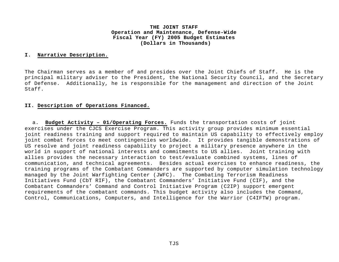#### **I. Narrative Description.**

The Chairman serves as a member of and presides over the Joint Chiefs of Staff. He is the principal military adviser to the President, the National Security Council, and the Secretary of Defense. Additionally, he is responsible for the management and direction of the Joint Staff.

#### **II. Description of Operations Financed.**

a. **Budget Activity – 01/Operating Forces.** Funds the transportation costs of joint exercises under the CJCS Exercise Program. This activity group provides minimum essential joint readiness training and support required to maintain US capability to effectively employ joint combat forces to meet contingencies worldwide. It provides tangible demonstrations of US resolve and joint readiness capability to project a military presence anywhere in the world in support of national interests and commitments to US allies. Joint training with allies provides the necessary interaction to test/evaluate combined systems, lines of communication, and technical agreements. Besides actual exercises to enhance readiness, the training programs of the Combatant Commanders are supported by computer simulation technology managed by the Joint Warfighting Center (JWFC). The Combating Terrorism Readiness Initiatives Fund (CbT RIF), the Combatant Commanders' Initiative Fund (CIF), and the Combatant Commanders' Command and Control Initiative Program (C2IP) support emergent requirements of the combatant commands. This budget activity also includes the Command, Control, Communications, Computers, and Intelligence for the Warrior (C4IFTW) program.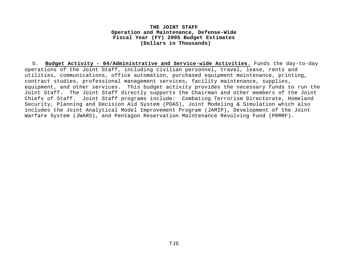b. **Budget Activity - 04/Administrative and Service-wide Activities.** Funds the day-to-day operations of the Joint Staff, including civilian personnel, travel, lease, rents and utilities, communications, office automation, purchased equipment maintenance, printing, contract studies, professional management services, facility maintenance, supplies, equipment, and other services. This budget activity provides the necessary funds to run the Joint Staff. The Joint Staff directly supports the Chairman and other members of the Joint Chiefs of Staff. Joint Staff programs include: Combating Terrorism Directorate, Homeland Security, Planning and Decision Aid System (PDAS), Joint Modeling & Simulation which also includes the Joint Analytical Model Improvement Program (JAMIP), Development of the Joint Warfare System (JWARS), and Pentagon Reservation Maintenance Revolving Fund (PRMRF).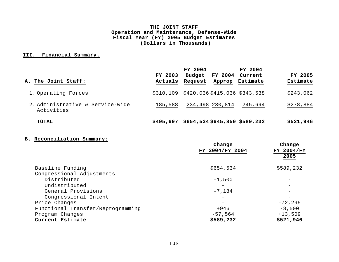# **III. Financial Summary.**

| A. The Joint Staff:                            | FY 2003<br>Actuals | FY 2004<br>FY 2004<br>Budget<br>Request<br>Approp | FY 2004<br>Current<br>Estimate | FY 2005<br>Estimate |
|------------------------------------------------|--------------------|---------------------------------------------------|--------------------------------|---------------------|
| 1. Operating Forces                            |                    | \$310,109 \$420,036 \$415,036 \$343,538           |                                | \$243,062           |
| 2. Administrative & Service-wide<br>Activities | 185,588            | 234,498 230,814                                   | 245,694                        | \$278,884           |
| <b>TOTAL</b>                                   | \$495,697          | \$654,534 \$645,850 \$589,232                     |                                | \$521,946           |

# **B. Reconciliation Summary:**

|                                   | Change          | Change     |
|-----------------------------------|-----------------|------------|
|                                   | FY 2004/FY 2004 | FY 2004/FY |
|                                   |                 | 2005       |
| Baseline Funding                  | \$654,534       | \$589,232  |
| Congressional Adjustments         |                 |            |
| Distributed                       | $-1,500$        |            |
| Undistributed                     |                 |            |
| General Provisions                | $-7,184$        |            |
| Congressional Intent              |                 |            |
| Price Changes                     |                 | $-72, 295$ |
| Functional Transfer/Reprogramming | +946            | $-8,500$   |
| Program Changes                   | $-57,564$       | $+13,509$  |
| Current Estimate                  | \$589,232       | \$521,946  |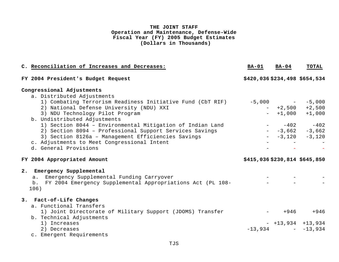| C. Reconciliation of Increases and Decreases:                                                                                                                                                                                                                                                                                                                                                                                                                 | <b>BA-01</b> | $BA-04$ | <b>TOTAL</b>                                                                                                              |
|---------------------------------------------------------------------------------------------------------------------------------------------------------------------------------------------------------------------------------------------------------------------------------------------------------------------------------------------------------------------------------------------------------------------------------------------------------------|--------------|---------|---------------------------------------------------------------------------------------------------------------------------|
| FY 2004 President's Budget Request                                                                                                                                                                                                                                                                                                                                                                                                                            |              |         | \$420,036 \$234,498 \$654,534                                                                                             |
| Congressional Adjustments                                                                                                                                                                                                                                                                                                                                                                                                                                     |              |         |                                                                                                                           |
| a. Distributed Adjustments<br>1) Combating Terrorism Readiness Initiative Fund (CbT RIF)<br>2) National Defense University (NDU) XXI<br>3) NDU Technology Pilot Program<br>b. Undistributed Adjustments<br>1) Section 8044 - Environmental Mitigation of Indian Land<br>2) Section 8094 - Professional Support Services Savings<br>3) Section 8126a - Management Efficiencies Savings<br>c. Adjustments to Meet Congressional Intent<br>d. General Provisions |              |         | $-5,000$ - $-5,000$<br>$-$ +2,500 +2,500<br>$-$ +1,000 +1,000<br>$-402 - 402$<br>$ -3,662$ $-3,662$<br>$ -3,120$ $-3,120$ |
| FY 2004 Appropriated Amount                                                                                                                                                                                                                                                                                                                                                                                                                                   |              |         | \$415,036\$230,814\$645,850                                                                                               |
| 2. Emergency Supplemental<br>a. Emergency Supplemental Funding Carryover<br>FY 2004 Emergency Supplemental Appropriations Act (PL 108-<br>b.<br>106)                                                                                                                                                                                                                                                                                                          |              |         |                                                                                                                           |
| 3. Fact-of-Life Changes<br>a. Functional Transfers                                                                                                                                                                                                                                                                                                                                                                                                            |              |         |                                                                                                                           |
| 1) Joint Directorate of Military Support (JDOMS) Transfer<br>b. Technical Adjustments                                                                                                                                                                                                                                                                                                                                                                         |              | $+946$  | $+946$                                                                                                                    |
| 1) Increases<br>2) Decreases<br>c. Emergent Requirements                                                                                                                                                                                                                                                                                                                                                                                                      |              |         | $-$ +13,934 +13,934<br>$-13,934$ - $-13,934$                                                                              |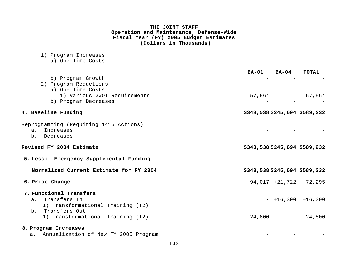| 1) Program Increases                    |                                       |
|-----------------------------------------|---------------------------------------|
| a) One-Time Costs                       |                                       |
|                                         |                                       |
|                                         | <b>BA-04</b><br>TOTAL<br><b>BA-01</b> |
| b) Program Growth                       |                                       |
| 2) Program Reductions                   |                                       |
| a) One-Time Costs                       |                                       |
| 1) Various GWOT Requirements            | $-57,564$ - $-57,564$                 |
| b) Program Decreases                    |                                       |
| 4. Baseline Funding                     | \$343,538 \$245,694 \$589,232         |
|                                         |                                       |
| Reprogramming (Requiring 1415 Actions)  |                                       |
| Increases<br>a <sub>1</sub>             |                                       |
| b. Decreases                            |                                       |
| Revised FY 2004 Estimate                | \$343,538 \$245,694 \$589,232         |
| 5. Less: Emergency Supplemental Funding |                                       |
| Normalized Current Estimate for FY 2004 | \$343,538 \$245,694 \$589,232         |
| 6. Price Change                         | $-94,017$ $+21,722$ $-72,295$         |
| 7. Functional Transfers                 |                                       |
| a. Transfers In                         | $-$ +16,300 +16,300                   |
| 1) Transformational Training (T2)       |                                       |
| b. Transfers Out                        |                                       |
| 1) Transformational Training (T2)       | $-24,800$<br>$-24,800$                |
| 8. Program Increases                    |                                       |
| a. Annualization of New FY 2005 Program |                                       |
|                                         |                                       |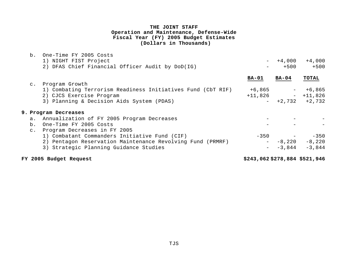|                | b. One-Time FY 2005 Costs                                   |                               |          |                   |
|----------------|-------------------------------------------------------------|-------------------------------|----------|-------------------|
|                | 1) NIGHT FIST Project                                       | $ \,$                         | $+4,000$ | $+4,000$          |
|                | 2) DFAS Chief Financial Officer Audit by DoD(IG)            |                               | $+500$   | $+500$            |
|                |                                                             | $BA-01$                       | $BA-04$  | <b>TOTAL</b>      |
|                | c. Program Growth                                           |                               |          |                   |
|                | 1) Combating Terrorism Readiness Initiatives Fund (CbT RIF) | $+6,865$                      |          | $+6,865$          |
|                | 2) CJCS Exercise Program                                    | $+11,826$                     |          | $-$ +11,826       |
|                | 3) Planning & Decision Aids System (PDAS)                   |                               |          | $-$ +2,732 +2,732 |
|                | 9. Program Decreases                                        |                               |          |                   |
| $a$ .          | Annualization of FY 2005 Program Decreases                  |                               |          |                   |
| b.             | One-Time FY 2005 Costs                                      |                               |          |                   |
| $\mathsf{C}$ . | Program Decreases in FY 2005                                |                               |          |                   |
|                | 1) Combatant Commanders Initiative Fund (CIF)               |                               | $-350$   | $-350$            |
|                | 2) Pentagon Reservation Maintenance Revolving Fund (PRMRF)  |                               | $-8,220$ | $-8,220$          |
|                | 3) Strategic Planning Guidance Studies                      | $\sim$ 100 $\mu$              | $-3,844$ | $-3,844$          |
|                | FY 2005 Budget Request                                      | \$243,062 \$278,884 \$521,946 |          |                   |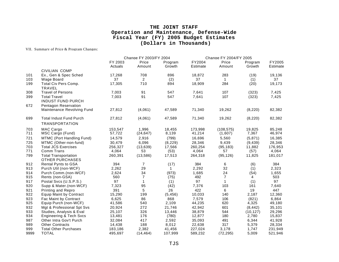VII. Summary of Price & Program Changes:

|            |                                                       |                    | Change FY 2003/FY 2004<br>Change FY 2004/FY 2005 |                   |                    |                       |                   |                    |
|------------|-------------------------------------------------------|--------------------|--------------------------------------------------|-------------------|--------------------|-----------------------|-------------------|--------------------|
|            |                                                       | FY 2003<br>Actuals | Price<br>Amount                                  | Program<br>Growth | FY2004<br>Estimate | Price<br>Amount       | Program<br>Growth | FY2005<br>Estimate |
|            | CIVILIAN COMP                                         |                    |                                                  |                   |                    |                       |                   |                    |
| 101        | Ex., Gen & Spec Sched                                 | 17,268             | 708                                              | 896               | 18,872             | 283                   | (19)              | 19,136             |
| 103        | <b>Wage Board</b>                                     | 37                 | 2                                                | (2)               | 37                 | $\mathbf{1}$          | (1)               | 37                 |
| 199        | Total Civ Pers Comp.                                  | 17,305             | 710                                              | 894               | 18,909             | 284                   | (20)              | 19,173             |
|            | <b>TRAVEL</b>                                         |                    |                                                  |                   |                    |                       |                   |                    |
| 308        | <b>Travel of Persons</b>                              | 7,003              | 91                                               | 547               | 7,641              | 107                   | (323)             | 7,425              |
| 399        | <b>Total Travel</b>                                   | 7,003              | 91                                               | 547               | 7,641              | 107                   | (323)             | 7,425              |
|            | <b>INDUST FUND PURCH</b>                              |                    |                                                  |                   |                    |                       |                   |                    |
| 672        | Pentagon Reservation                                  |                    |                                                  |                   |                    |                       |                   |                    |
|            | Maintenance Revolving Fund                            | 27,812             | (4,061)                                          | 47,589            | 71,340             | 19,262                | (8, 220)          | 82,382             |
|            |                                                       |                    |                                                  |                   |                    |                       |                   |                    |
| 699        | <b>Total Indust Fund Purch</b>                        | 27,812             | (4,061)                                          | 47,589            | 71,340             | 19,262                | (8, 220)          | 82,382             |
|            | <b>TRANSPORTATION</b>                                 |                    |                                                  |                   |                    |                       |                   |                    |
|            |                                                       |                    |                                                  |                   |                    |                       |                   |                    |
| 703<br>711 | MAC Cargo<br>MSC Cargo (Fund)                         | 153,547<br>57,722  | 1,996<br>(24, 647)                               | 18,455<br>8,139   | 173,998<br>41,214  | (108, 575)<br>(1,607) | 19,825<br>7,367   | 85,248<br>46,974   |
|            |                                                       |                    |                                                  |                   |                    |                       |                   |                    |
| 721        | MTMC (Port Handling Fund)                             | 14,579             | 2,916                                            | (799)             | 16,696             | 5,560                 | (5, 871)          | 16,385             |
| 725        | MTMC (Other-non-fund)                                 | 30,479             | 6,096                                            | (8, 229)          | 28,346             | 9,439                 | (9, 439)          | 28,346             |
| 703        | <b>Total JCS Exercises</b>                            | 256,327            | (13, 639)                                        | 17,566            | 260,254            | (95, 183)             | 11,882            | 176,953            |
| 771        | Comm Trans                                            | 4,064              | 53                                               | (53)              | 4,064              | 57                    | (57)              | 4,064              |
| 799        | <b>Total Transportation</b><br><b>OTHER PURCHASES</b> | 260,391            | (13,586)                                         | 17,513            | 264,318            | (95, 126)             | 11,825            | 181,017            |
| 912        | <b>Rental Pynts to GSA</b>                            | 394                | 7                                                | (17)              | 384                | 6                     | (6)               | 384                |
| 913        | Purch Util (non-WCF)                                  | 2,262              | 29                                               | $\mathbf 1$       | 2,292              | 32                    | (1)               | 2,323              |
| 914        | Purch Comm.(non-WCF)                                  | 2,624              | 34                                               | (973)             | 1,685              | 24                    | (54)              | 1,655              |
| 915        | Rents (non-GSA)                                       | 560                | $\overline{7}$                                   | (75)              | 492                | $\overline{7}$        | 4                 | 503                |
| 917        | Postal Svcs (U.S.P.S.)                                | 97                 | $\mathbf{1}$                                     | (1)               | 97                 | $\mathbf{1}$          | (1)               | 97                 |
| 920        | Supp & Mater.(non-WCF)                                | 7,323              | 95                                               | (42)              | 7,376              | 103                   | 161               | 7,640              |
| 921        | Printing and Repro                                    | 391                | 5                                                | 26                | 422                | 6                     | 19                | 447                |
| 922        | <b>Equip Maint by Contract</b>                        | 15,290             | 199                                              | (5, 456)          | 10,033             | 140                   | 2,187             | 12,360             |
| 923        | Fac Maint by Contract                                 | 6,625              | 86                                               | 868               | 7,579              | 106                   | (821)             | 6,864              |
| 925        | Equip Purch (non-WCF)                                 | 41,586             | 540                                              | 2,109             | 44,235             | 620                   | 4,325             | 49,180             |
| 932        | Mgt & Professional Spt Svs                            | 20,924             | 272                                              | 21,746            | 42,942             | 601                   | (8, 442)          | 35,101             |
| 933        | Studies, Analysis & Eval                              | 25,107             | 326                                              | 13,446            | 38,879             | 544                   | (10, 127)         | 29,296             |
| 934        | <b>Engineering &amp; Tech Svcs</b>                    | 13,481             | 176                                              | (780)             | 12,877             | 180                   | 2,780             | 15,837             |
| 987        | Other Intra Gov't Purch                               | 32,084             | 417                                              | 2,592             | 35,093             | 491                   | 6,344             | 41,928             |
| 989        | <b>Other Contracts</b>                                | 14,438             | 188                                              | 8,012             | 22,638             | 317                   | 5,379             | 28,334             |
| 999        | <b>Total Other Purchases</b>                          | 183,186            | 2,382                                            | 41,456            | 227,024            | 3,178                 | 1,747             | 231,949            |
| 9999       | <b>TOTAL</b>                                          | 495,697            | (14, 464)                                        | 107,999           | 589,232            | (72, 295)             | 5,009             | 521,946            |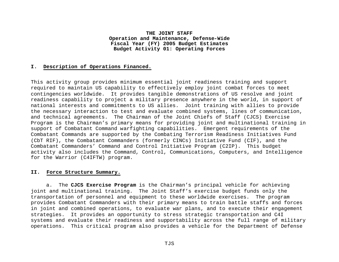#### **I. Description of Operations Financed.**

This activity group provides minimum essential joint readiness training and support required to maintain US capability to effectively employ joint combat forces to meet contingencies worldwide. It provides tangible demonstrations of US resolve and joint readiness capability to project a military presence anywhere in the world, in support of national interests and commitments to US allies. Joint training with allies to provide the necessary interaction to test and evaluate combined systems, lines of communication, and technical agreements. The Chairman of the Joint Chiefs of Staff (CJCS) Exercise Program is the Chairman's primary means for providing joint and multinational training in support of Combatant Command warfighting capabilities. Emergent requirements of the Combatant Commands are supported by the Combating Terrorism Readiness Initiatives Fund (CbT RIF), the Combatant Commanders (formerly CINCs) Initiative Fund (CIF), and the Combatant Commanders' Command and Control Initiative Program (C2IP). This budget activity also includes the Command, Control, Communications, Computers, and Intelligence for the Warrior (C4IFTW) program.

#### **II. Force Structure Summary.**

a. The **CJCS Exercise Program** is the Chairman's principal vehicle for achieving joint and multinational training. The Joint Staff's exercise budget funds only the transportation of personnel and equipment to these worldwide exercises. The program provides Combatant Commanders with their primary means to train battle staffs and forces in joint and combined operations, to evaluate war plans, and to execute their engagement strategies. It provides an opportunity to stress strategic transportation and C4I systems and evaluate their readiness and supportability across the full range of military operations. This critical program also provides a vehicle for the Department of Defense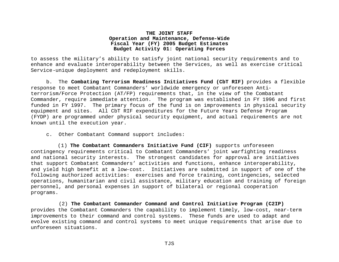to assess the military's ability to satisfy joint national security requirements and to enhance and evaluate interoperability between the Services, as well as exercise critical Service-unique deployment and redeployment skills.

b. The **Combating Terrorism Readiness Initiatives Fund (CbT RIF)** provides a flexible response to meet Combatant Commanders' worldwide emergency or unforeseen Antiterrorism/Force Protection (AT/FP) requirements that, in the view of the Combatant Commander, require immediate attention. The program was established in FY 1996 and first funded in FY 1997. The primary focus of the fund is on improvements in physical security equipment and sites. All CbT RIF expenditures for the Future Years Defense Program (FYDP) are programmed under physical security equipment, and actual requirements are not known until the execution year.

c. Other Combatant Command support includes:

(1) **The Combatant Commanders Initiative Fund (CIF)** supports unforeseen contingency requirements critical to Combatant Commanders' joint warfighting readiness and national security interests. The strongest candidates for approval are initiatives that support Combatant Commanders' activities and functions, enhance interoperability, and yield high benefit at a low-cost. Initiatives are submitted in support of one of the following authorized activities: exercises and force training, contingencies, selected operations, humanitarian and civil assistance, military education and training of foreign personnel, and personal expenses in support of bilateral or regional cooperation programs.

 (2) **The Combatant Commander Command and Control Initiative Program (C2IP)** provides the Combatant Commanders the capability to implement timely, low-cost, near-term improvements to their command and control systems. These funds are used to adapt and evolve existing command and control systems to meet unique requirements that arise due to unforeseen situations.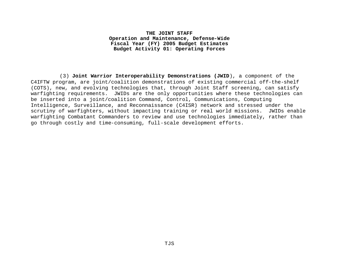(3) **Joint Warrior Interoperability Demonstrations (JWID**), a component of the C4IFTW program, are joint/coalition demonstrations of existing commercial off-the-shelf (COTS), new, and evolving technologies that, through Joint Staff screening, can satisfy warfighting requirements. JWIDs are the only opportunities where these technologies can be inserted into a joint/coalition Command, Control, Communications, Computing Intelligence, Surveillance, and Reconnaissance (C4ISR) network and stressed under the scrutiny of warfighters, without impacting training or real world missions. JWIDs enable warfighting Combatant Commanders to review and use technologies immediately, rather than go through costly and time-consuming, full-scale development efforts.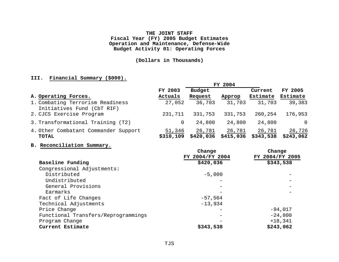# **(Dollars in Thousands)**

# **III. Financial Summary (\$000).**

|                                                                | FY 2004             |                     |                     |                     |                     |
|----------------------------------------------------------------|---------------------|---------------------|---------------------|---------------------|---------------------|
|                                                                | FY 2003             | <b>Budget</b>       |                     | Current             | FY 2005             |
| A. Operating Forces.                                           | Actuals             | Request             | Approp              | Estimate            | Estimate            |
| 1. Combating Terrorism Readiness<br>Initiatives Fund (CbT RIF) | 27,052              | 36,703              | 31,703              | 31,703              | 39,383              |
| 2. CJCS Exercise Program                                       | 231,711             | 331,753             | 331,753             | 260,254             | 176,953             |
| 3. Transformational Training (T2)                              | 0                   | 24,800              | 24,800              | 24,800              | $\Omega$            |
| 4. Other Combatant Commander Support<br><b>TOTAL</b>           | 51,346<br>\$310,109 | 26,781<br>\$420,036 | 26,781<br>\$415,036 | 26,781<br>\$343,538 | 26,726<br>\$243,062 |

#### **B. Reconciliation Summary.**

|                                     | Change          | Change          |  |  |
|-------------------------------------|-----------------|-----------------|--|--|
|                                     | FY 2004/FY 2004 | FY 2004/FY 2005 |  |  |
| Baseline Funding                    | \$420,036       | \$343,538       |  |  |
| Congressional Adjustments:          |                 |                 |  |  |
| Distributed                         | $-5,000$        |                 |  |  |
| Undistributed                       | —               |                 |  |  |
| General Provisions                  |                 |                 |  |  |
| Earmarks                            |                 |                 |  |  |
| Fact of Life Changes                | $-57,564$       |                 |  |  |
| Technical Adjustments               | $-13,934$       |                 |  |  |
| Price Change                        |                 | $-94,017$       |  |  |
| Functional Transfers/Reprogrammings |                 | $-24,800$       |  |  |
| Program Change                      |                 | $+18,341$       |  |  |
| Current Estimate                    | \$343,538       | \$243,062       |  |  |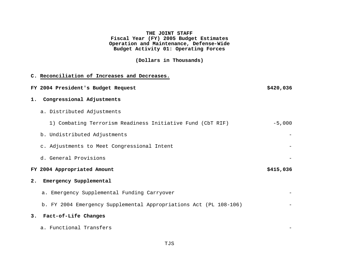# **(Dollars in Thousands)**

|    | C. Reconciliation of Increases and Decreases.                     |           |
|----|-------------------------------------------------------------------|-----------|
|    | FY 2004 President's Budget Request                                | \$420,036 |
| 1. | Congressional Adjustments                                         |           |
|    | a. Distributed Adjustments                                        |           |
|    | 1) Combating Terrorism Readiness Initiative Fund (CbT RIF)        | $-5,000$  |
|    | b. Undistributed Adjustments                                      |           |
|    | c. Adjustments to Meet Congressional Intent                       |           |
|    | d. General Provisions                                             |           |
|    | FY 2004 Appropriated Amount                                       | \$415,036 |
| 2. | Emergency Supplemental                                            |           |
|    | a. Emergency Supplemental Funding Carryover                       |           |
|    | b. FY 2004 Emergency Supplemental Appropriations Act (PL 108-106) |           |
| 3. | Fact-of-Life Changes                                              |           |
|    | a. Functional Transfers                                           |           |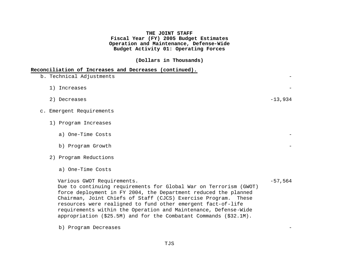**(Dollars in Thousands)** 

| Reconciliation of Increases and Decreases (continued). |  |
|--------------------------------------------------------|--|
|--------------------------------------------------------|--|

| b. Technical Adjustments                                                                                                                                                                                                                                                                             |           |
|------------------------------------------------------------------------------------------------------------------------------------------------------------------------------------------------------------------------------------------------------------------------------------------------------|-----------|
| 1) Increases                                                                                                                                                                                                                                                                                         |           |
| 2) Decreases                                                                                                                                                                                                                                                                                         | $-13,934$ |
| c. Emergent Requirements                                                                                                                                                                                                                                                                             |           |
| 1) Program Increases                                                                                                                                                                                                                                                                                 |           |
| a) One-Time Costs                                                                                                                                                                                                                                                                                    |           |
| b) Program Growth                                                                                                                                                                                                                                                                                    |           |
| 2) Program Reductions                                                                                                                                                                                                                                                                                |           |
| a) One-Time Costs                                                                                                                                                                                                                                                                                    |           |
| Various GWOT Requirements.<br>Due to continuing requirements for Global War on Terrorism (GWOT)<br>force deployment in FY 2004, the Department reduced the planned<br>Chairman, Joint Chiefs of Staff (CJCS) Exercise Program. These<br>resources were realigned to fund other emergent fact-of-life | $-57,564$ |

**b**) Program Decreases

requirements within the Operation and Maintenance, Defense-Wide appropriation (\$25.5M) and for the Combatant Commands (\$32.1M).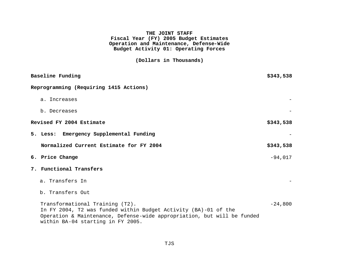**(Dollars in Thousands)** 

| Baseline Funding                                                                                                                                                                                                   | \$343,538 |
|--------------------------------------------------------------------------------------------------------------------------------------------------------------------------------------------------------------------|-----------|
| Reprogramming (Requiring 1415 Actions)                                                                                                                                                                             |           |
| a. Increases                                                                                                                                                                                                       |           |
| b. Decreases                                                                                                                                                                                                       |           |
| Revised FY 2004 Estimate                                                                                                                                                                                           | \$343,538 |
| 5. Less: Emergency Supplemental Funding                                                                                                                                                                            |           |
| Normalized Current Estimate for FY 2004                                                                                                                                                                            | \$343,538 |
| 6. Price Change                                                                                                                                                                                                    | $-94,017$ |
| 7. Functional Transfers                                                                                                                                                                                            |           |
| a. Transfers In                                                                                                                                                                                                    |           |
| b. Transfers Out                                                                                                                                                                                                   |           |
| Transformational Training (T2).<br>In FY 2004, T2 was funded within Budget Activity (BA)-01 of the<br>Operation & Maintenance, Defense-wide appropriation, but will be funded<br>within BA-04 starting in FY 2005. | $-24,800$ |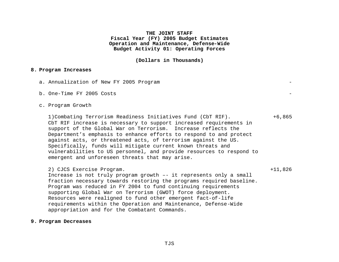**(Dollars in Thousands)** 

#### **8. Program Increases**

- a. Annualization of New FY 2005 Program
- b. One-Time  $FY$  2005 Costs

#### c. Program Growth

1)Combating Terrorism Readiness Initiatives Fund (CbT RIF). +6,865 CbT RIF increase is necessary to support increased requirements in support of the Global War on Terrorism. Increase reflects the Department's emphasis to enhance efforts to respond to and protect against acts, or threatened acts, of terrorism against the US. Specifically, funds will mitigate current known threats and vulnerabilities to US personnel, and provide resources to respond to emergent and unforeseen threats that may arise.

#### 2) CJCS Exercise Program. +11,826

Increase is not truly program growth –- it represents only a small fraction necessary towards restoring the programs required baseline. Program was reduced in FY 2004 to fund continuing requirements supporting Global War on Terrorism (GWOT) force deployment. Resources were realigned to fund other emergent fact-of-life requirements within the Operation and Maintenance, Defense-Wide appropriation and for the Combatant Commands.

#### **9. Program Decreases**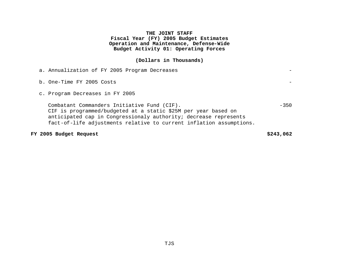# **(Dollars in Thousands)**

| a. Annualization of FY 2005 Program Decreases                                                                                                                                                                                                            |        |
|----------------------------------------------------------------------------------------------------------------------------------------------------------------------------------------------------------------------------------------------------------|--------|
| b. One-Time FY 2005 Costs                                                                                                                                                                                                                                |        |
| c. Program Decreases in FY 2005                                                                                                                                                                                                                          |        |
| Combatant Commanders Initiative Fund (CIF).<br>CIF is programmed/budgeted at a static \$25M per year based on<br>anticipated cap in Congressionaly authority; decrease represents<br>fact-of-life adjustments relative to current inflation assumptions. | $-350$ |

# **FY 2005 Budget Request \$243,062**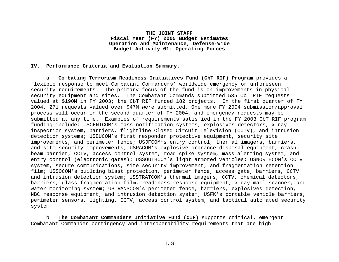#### **IV. Performance Criteria and Evaluation Summary.**

a. **Combating Terrorism Readiness Initiatives Fund (CbT RIF) Program** provides a flexible response to meet Combatant Commanders' worldwide emergency or unforeseen security requirements. The primary focus of the fund is on improvements in physical security equipment and sites. The Combatant Commands submitted 535 CbT RIF requests valued at \$190M in FY 2003; the CbT RIF funded 182 projects. In the first quarter of FY 2004, 271 requests valued over \$47M were submitted. One more FY 2004 submission/approval process will occur in the second quarter of FY 2004, and emergency requests may be submitted at any time. Examples of requirements satisfied in the FY 2003 CbT RIF program funding include: USCENTCOM's mass notification systems, explosives detectors, x-ray inspection system, barriers, flightline Closed Circuit Television (CCTV), and intrusion detection systems; USEUCOM's first responder protective equipment, security site improvements, and perimeter fence; USJFCOM's entry control, thermal imagers, barriers, and site security improvements; USPACOM's explosive ordnance disposal equipment, crash beam barrier, CCTV, access control system, road spike system, mass alerting system, and entry control (electronic gates); USSOUTHCOM's light armored vehicles; USNORTHCOM's CCTV system, secure communications, site security improvement, and fragmentation retention film; USSOCOM's building blast protection, perimeter fence, access gate, barriers, CCTV and intrusion detection system; USSTRATCOM's thermal imagers, CCTV, chemical detectors, barriers, glass fragmentation film, readiness response equipment, x-ray mail scanner, and water monitoring system; USTRANSCOM's perimeter fence, barriers, explosives detection, NBC response equipment, and intrusion detection system; USFK's portable vehicle barriers, perimeter sensors, lighting, CCTV, access control system, and tactical automated security system.

b. **The Combatant Commanders Initiative Fund (CIF)** supports critical, emergent Combatant Commander contingency and interoperability requirements that are high-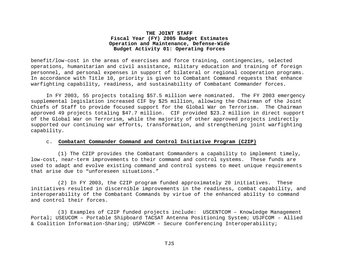benefit/low-cost in the areas of exercises and force training, contingencies, selected operations, humanitarian and civil assistance, military education and training of foreign personnel, and personal expenses in support of bilateral or regional cooperation programs. In accordance with Title 10, priority is given to Combatant Command requests that enhance warfighting capability, readiness, and sustainability of Combatant Commander forces.

In FY 2003, 55 projects totaling \$57.5 million were nominated. The FY 2003 emergency supplemental legislation increased CIF by \$25 million, allowing the Chairman of the Joint Chiefs of Staff to provide focused support for the Global War on Terrorism. The Chairman approved 49 projects totaling \$47.7 million. CIF provided \$23.2 million in direct support of the Global War on Terrorism, while the majority of other approved projects indirectly supported our continuing war efforts, transformation, and strengthening joint warfighting capability.

#### c. **Combatant Commander Command and Control Initiative Program (C2IP)**

(1) The C2IP provides the Combatant Commanders a capability to implement timely, low-cost, near-term improvements to their command and control systems. These funds are used to adapt and evolve existing command and control systems to meet unique requirements that arise due to "unforeseen situations."

(2) In FY 2003, the C2IP program funded approximately 20 initiatives. These initiatives resulted in discernible improvements in the readiness, combat capability, and interoperability of the Combatant Commands by virtue of the enhanced ability to command and control their forces.

(3) Examples of C2IP funded projects include: USCENTCOM – Knowledge Management Portal; USEUCOM – Portable Shipboard TACSAT Antenna Positioning System; USJFCOM – Allied & Coalition Information-Sharing; USPACOM – Secure Conferencing Interoperability;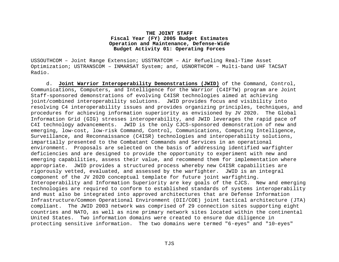USSOUTHCOM – Joint Range Extension; USSTRATCOM – Air Refueling Real-Time Asset Optimization; USTRANSCOM – INMARSAT System; and, USNORTHCOM – Multi-band UHF TACSAT Radio.

d. **Joint Warrior Interoperability Demonstrations (JWID)** of the Command, Control, Communications, Computers, and Intelligence for the Warrior (C4IFTW) program are Joint Staff-sponsored demonstrations of evolving C4ISR technologies aimed at achieving joint/combined interoperability solutions. JWID provides focus and visibility into resolving C4 interoperability issues and provides organizing principles, techniques, and procedures for achieving information superiority as envisioned by JV 2020. The Global Information Grid (GIG) stresses interoperability, and JWID leverages the rapid pace of C4I technology advancements. JWID is the only CJCS-sponsored demonstration of new and emerging, low-cost, low-risk Command, Control, Communications, Computing Intelligence, Surveillance, and Reconnaissance (C4ISR) technologies and interoperability solutions, impartially presented to the Combatant Commands and Services in an operational environment. Proposals are selected on the basis of addressing identified warfighter deficiencies and are designed to provide the opportunity to experiment with new and emerging capabilities, assess their value, and recommend them for implementation where appropriate. JWID provides a structured process whereby new C4ISR capabilities are rigorously vetted, evaluated, and assessed by the warfighter. JWID is an integral component of the JV 2020 conceptual template for future joint warfighting. Interoperability and Information Superiority are key goals of the CJCS. New and emerging technologies are required to conform to established standards of systems interoperability and must also be integrated into approved architectures that are Defense Information Infrastructure/Common Operational Environment (DII/COE) joint tactical architecture (JTA) compliant. The JWID 2003 network was comprised of 29 connection sites supporting eight countries and NATO, as well as nine primary network sites located within the continental United States. Two information domains were created to ensure due diligence in protecting sensitive information. The two domains were termed "6-eyes" and "10-eyes"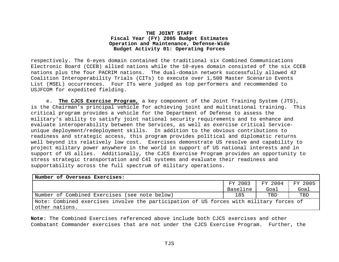respectively. The 6-eyes domain contained the traditional six Combined Communications Electronic Board (CCEB) allied nations while the 10-eyes domain consisted of the six CCEB nations plus the four PACRIM nations. The dual-domain network successfully allowed 42 Coalition Interoperability Trials (CITs) to execute over 1,500 Master Scenario Events List (MSEL) occurrences. Four ITs were judged as top performers and recommended to USJFCOM for expedited fielding.

e. **The CJCS Exercise Program,** a key component of the Joint Training System (JTS), is the Chairman's principal vehicle for achieving joint and multinational training. This critical program provides a vehicle for the Department of Defense to assess the military's ability to satisfy joint national security requirements and to enhance and evaluate interoperability between the Services, as well as exercise critical Serviceunique deployment/redeployment skills. In addition to the obvious contributions to readiness and strategic access, this program provides political and diplomatic returns well beyond its relatively low cost. Exercises demonstrate US resolve and capability to project military power anywhere in the world in support of US national interests and in support of US allies. Additionally, the CJCS Exercise Program provides an opportunity to stress strategic transportation and C4I systems and evaluate their readiness and supportability across the full spectrum of military operations.

| Number of Overseas Exercises:                                                           |          |         |         |
|-----------------------------------------------------------------------------------------|----------|---------|---------|
|                                                                                         | FY 2003  | FY 2004 | FY 2005 |
|                                                                                         | Baseline | Goal    | Goal    |
| Number of Combined Exercises (see note below)                                           | 185      | TBD     | TBD     |
| Note: Combined exercises involve the participation of US forces with military forces of |          |         |         |
| other nations.                                                                          |          |         |         |

**Note**: The Combined Exercises referenced above include both CJCS exercises and other Combatant Commander exercises that are not under the CJCS Exercise Program. Further, the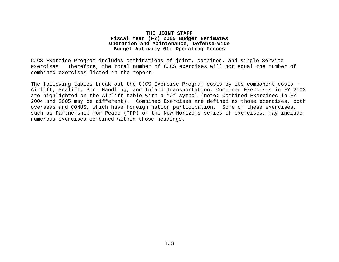CJCS Exercise Program includes combinations of joint, combined, and single Service exercises. Therefore, the total number of CJCS exercises will not equal the number of combined exercises listed in the report.

The following tables break out the CJCS Exercise Program costs by its component costs – Airlift, Sealift, Port Handling, and Inland Transportation. Combined Exercises in FY 2003 are highlighted on the Airlift table with a "#" symbol (note: Combined Exercises in FY 2004 and 2005 may be different). Combined Exercises are defined as those exercises, both overseas and CONUS, which have foreign nation participation. Some of these exercises, such as Partnership for Peace (PFP) or the New Horizons series of exercises, may include numerous exercises combined within those headings.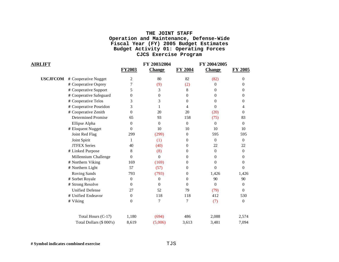| <b>AIRLIFT</b>  |                           |               | FY 2003/2004  |                  | FY 2004/2005   |                  |
|-----------------|---------------------------|---------------|---------------|------------------|----------------|------------------|
|                 |                           | <b>FY2003</b> | <b>Change</b> | <b>FY 2004</b>   | <b>Change</b>  | FY 2005          |
| <b>USCJFCOM</b> | # Cooperative Nugget      | 2             | 80            | 82               | (82)           | 0                |
|                 | # Cooperative Osprey      | 7             | (9)           | (2)              | $\Omega$       | $\theta$         |
|                 | # Cooperative Support     | 5             | 3             | 8                | 0              | 0                |
|                 | # Cooperative Safeguard   | 0             | $\theta$      | $\theta$         | $\Omega$       | 0                |
|                 | # Cooperative Telos       | 3             | 3             | $\boldsymbol{0}$ | $\theta$       | 0                |
|                 | # Cooperative Poseidon    | 3             |               | 4                | $\Omega$       | 4                |
|                 | # Cooperative Zenith      | $\Omega$      | 20            | 20               | (20)           | $\theta$         |
|                 | <b>Determined Promise</b> | 65            | 93            | 158              | (75)           | 83               |
|                 | Ellipse Alpha             | $\Omega$      | $\Omega$      | $\overline{0}$   | $\Omega$       | $\overline{0}$   |
|                 | # Eloquent Nugget         | $\Omega$      | 10            | 10               | 10             | 10               |
|                 | Joint Red Flag            | 299           | (299)         | $\overline{0}$   | 595            | 595              |
|                 | Joint Spirit              | 1             | (1)           | $\boldsymbol{0}$ | $\overline{0}$ | $\boldsymbol{0}$ |
|                 | <b>JTFEX Series</b>       | 40            | (40)          | 0                | 22             | 22               |
|                 | # Linked Purpose          | 8             | (8)           | $\theta$         | $\overline{0}$ | $\Omega$         |
|                 | Millennium Challenge      | $\theta$      | $\theta$      | $\boldsymbol{0}$ | $\Omega$       | 0                |
|                 | # Northern Viking         | 169           | (169)         | $\theta$         | $\Omega$       | 0                |
|                 | # Northern Light          | 57            | (57)          | $\theta$         | $\Omega$       | $\Omega$         |
|                 | Roving Sands              | 793           | (793)         | $\theta$         | 1,426          | 1,426            |
|                 | # Sorbet Royale           | $\theta$      | $\theta$      | $\overline{0}$   | 90             | 90               |
|                 | # Strong Resolve          | $\Omega$      | $\Omega$      | $\Omega$         | $\Omega$       | $\Omega$         |
|                 | <b>Unified Defense</b>    | 27            | 52            | 79               | (79)           | $\Omega$         |
|                 | # Unified Endeavor        | $\Omega$      | 118           | 118              | 412            | 530              |
|                 | # Viking                  | $\theta$      | 7             | $\overline{7}$   | (7)            | $\overline{0}$   |
|                 | Total Hours (C-17)        | 1,180         | (694)         | 486              | 2,088          | 2,574            |
|                 | Total Dollars (\$ 000's)  | 8,619         | (5,006)       | 3,613            | 3,481          | 7,094            |

**# Symbol indicates combined exercise** TJS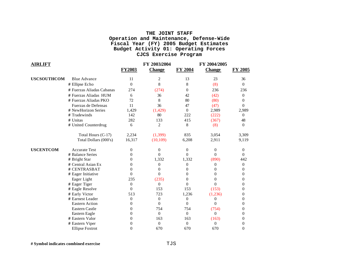| <b>AIRLIFT</b>     |                           |                  | FY 2003/2004   |                  | FY 2004/2005  |                  |
|--------------------|---------------------------|------------------|----------------|------------------|---------------|------------------|
|                    |                           | <b>FY2003</b>    | <b>Change</b>  | FY 2004          | <b>Change</b> | <b>FY 2005</b>   |
| <b>USCSOUTHCOM</b> | <b>Blue Advance</b>       | 11               | 2              | 13               | 23            | 36               |
|                    | # Ellipse Echo            | $\boldsymbol{0}$ | 8              | 8                | (8)           | $\boldsymbol{0}$ |
|                    | # Fuerzas Aliadas Cabanas | 274              | (274)          | $\Omega$         | 236           | 236              |
|                    | # Fuerzas Aliadas HUM     | 6                | 36             | 42               | (42)          | 0                |
|                    | # Fuerzas Aliadas PKO     | 72               | 8              | 80               | (80)          | 0                |
|                    | Fuerzas de Defensas       | 11               | 36             | 47               | (47)          | $\Omega$         |
|                    | # NewHorizon Series       | 1,429            | (1, 429)       | $\Omega$         | 2,989         | 2,989            |
|                    | # Tradewinds              | 142              | 80             | 222              | (222)         | 0                |
|                    | # Unitas                  | 282              | 133            | 415              | (367)         | 48               |
|                    | # United Counterdrug      | 6                | 2              | 8                | (8)           | $\theta$         |
|                    | Total Hours (C-17)        | 2,234            | (1, 399)       | 835              | 3,054         | 3,309            |
|                    | Total Dollars (000's)     | 16,317           | (10, 109)      | 6,208            | 2,911         | 9,119            |
| <b>USCENTCOM</b>   | <b>Accurate Test</b>      | 0                | 0              | $\theta$         | $\theta$      | 0                |
|                    | # Balance Series          | 0                | 0              | 0                | $\Omega$      | 0                |
|                    | # Bright Star             | 0                | 1,332          | 1,332            | (890)         | 442              |
|                    | # Central Asian Ex        | 0                | 0              | 0                | $\Omega$      | $\boldsymbol{0}$ |
|                    | # CENTRASBAT              | $\theta$         | 0              | 0                | 0             | 0                |
|                    | # Eager Initiative        | $\theta$         | 0              | 0                | 0             | 0                |
|                    | Eager Light               | 235              | (235)          | 0                | 0             | 0                |
|                    | # Eager Tiger             | $\theta$         | $\theta$       | 0                | 0             | 0                |
|                    | # Eagle Resolve           | 0                | 153            | 153              | (153)         | 0                |
|                    | # Early Victor            | 513              | 723            | 1,236            | (1,236)       | 0                |
|                    | # Earnest Leader          | $\theta$         | 0              | $\boldsymbol{0}$ | 0             | 0                |
|                    | <b>Eastern Action</b>     | $\theta$         | $\theta$       | $\theta$         | $\Omega$      | 0                |
|                    | <b>Eastern Castle</b>     | 0                | 754            | 754              | (754)         | 0                |
|                    | Eastern Eagle             | 0                | $\Omega$       | $\Omega$         | $\Omega$      | 0                |
|                    | # Eastern Valor           | 0                | 163            | 163              | (163)         | 0                |
|                    | # Eastern Viper           | 0                | $\overline{0}$ | $\boldsymbol{0}$ | $\Omega$      | 0                |
|                    | <b>Ellipse Foxtrot</b>    | $\theta$         | 670            | 670              | 670           | $\theta$         |

**# Symbol indicates combined exercise** TJS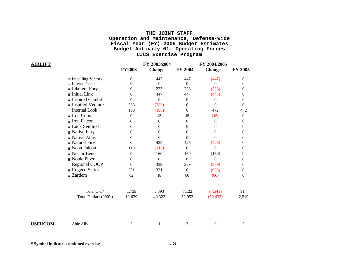| <b>AIRLIFT</b> |                       | <b>FY2003</b>    | FY 2003/2004<br><b>Change</b> | <b>FY 2004</b> | FY 2004/2005<br><b>Change</b> | FY 2005          |
|----------------|-----------------------|------------------|-------------------------------|----------------|-------------------------------|------------------|
|                | # Impelling Victory   | $\boldsymbol{0}$ | 447                           | 447            | (447)                         | $\boldsymbol{0}$ |
|                | # Inferno Creek       | $\theta$         | $\Omega$                      | $\theta$       | $\Omega$                      | $\boldsymbol{0}$ |
|                | # Inherent Fury       | $\overline{0}$   | 223                           | 223            | (223)                         | $\overline{0}$   |
|                | # Initial Link        | $\theta$         | 447                           | 447            | (447)                         | 0                |
|                | # Inspired Gambit     | $\overline{0}$   | $\boldsymbol{0}$              | $\overline{0}$ | $\theta$                      | $\boldsymbol{0}$ |
|                | # Inspired Venture    | 283              | (283)                         | $\Omega$       | $\Omega$                      | $\theta$         |
|                | <b>Internal Look</b>  | 198              | (198)                         | $\Omega$       | 472                           | 472              |
|                | # Iron Cobra          | $\boldsymbol{0}$ | 45                            | 45             | (45)                          | $\boldsymbol{0}$ |
|                | # Iron Falcon         | $\theta$         | $\theta$                      | $\theta$       | $\theta$                      | $\theta$         |
|                | # Luck Sentinel       | $\overline{0}$   | $\overline{0}$                | $\Omega$       | $\theta$                      | $\theta$         |
|                | # Native Fury         | $\theta$         | $\theta$                      | $\Omega$       | $\Omega$                      | 0                |
|                | # Native Atlas        | $\boldsymbol{0}$ | $\Omega$                      | $\theta$       | $\theta$                      | $\boldsymbol{0}$ |
|                | # Natural Fire        | $\theta$         | 425                           | 425            | (425)                         | $\boldsymbol{0}$ |
|                | # Neon Falcon         | 118              | (118)                         | $\mathbf{0}$   | $\theta$                      | $\theta$         |
|                | # Nectar Bend         | $\boldsymbol{0}$ | 160                           | 160            | (160)                         | $\theta$         |
|                | # Noble Piper         | $\theta$         | $\Omega$                      | $\Omega$       | $\boldsymbol{0}$              | 0                |
|                | <b>Regional COOP</b>  | $\boldsymbol{0}$ | 339                           | 339            | (339)                         | $\boldsymbol{0}$ |
|                | # Rugged Series       | 321              | 321                           | $\overline{0}$ | (693)                         | $\theta$         |
|                | # Zardem              | 62               | 18                            | 80             | (80)                          | $\overline{0}$   |
|                | Total C-17            | 1,729            | 5,393                         | 7,122          | (4, 541)                      | 914              |
|                | Total Dollars (000's) | 12,629           | 40,323                        | 52,952         | (50, 433)                     | 2,519            |
|                |                       |                  |                               |                |                               |                  |
| <b>USEUCOM</b> | Able Ally             | 2                | 1                             | 3              | $\theta$                      | 3                |

**# Symbol indicates combined exercise** TJS

 $\bf AIRLIFT$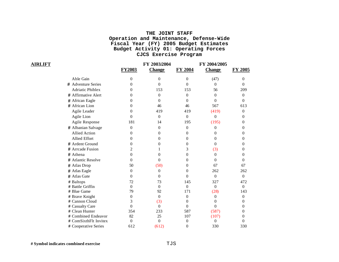| AIRLIFT |                         | <b>FY2003</b>  | FY 2003/2004<br><b>Change</b> | FY 2004        | FY 2004/2005<br><b>Change</b> | <b>FY 2005</b>   |
|---------|-------------------------|----------------|-------------------------------|----------------|-------------------------------|------------------|
|         | Able Gain               | 0              | $\Omega$                      | $\Omega$       | (47)                          | 0                |
|         | # Adventure Series      | 0              | $\theta$                      | 0              | $\Omega$                      | 0                |
|         | <b>Adriatic Phiblex</b> | 0              | 153                           | 153            | 56                            | 209              |
|         | # Affirmative Alert     | 0              | $\Omega$                      | $\overline{0}$ | $\Omega$                      | $\theta$         |
|         | # African Eagle         | 0              | $\Omega$                      | $\Omega$       | 0                             | 0                |
|         | # African Lion          | 0              | 46                            | 46             | 567                           | 613              |
|         | Agile Leader            | 0              | 419                           | 419            | (419)                         | 0                |
|         | Agile Lion              | 0              | $\Omega$                      | $\Omega$       | $\theta$                      | 0                |
|         | Agile Response          | 181            | 14                            | 195            | (195)                         | 0                |
|         | # Albanian Salvage      | $\theta$       | $\Omega$                      | $\overline{0}$ | $\Omega$                      | $\theta$         |
|         | <b>Allied Action</b>    | 0              | 0                             | 0              | 0                             | 0                |
|         | <b>Allied Effort</b>    | 0              | $\Omega$                      | $\Omega$       | 0                             | 0                |
|         | # Ardent Ground         | 0              | 0                             | 0              | 0                             | 0                |
|         | # Arreade Fusion        | $\overline{c}$ |                               | 3              | (3)                           | 0                |
|         | # Athena                | $\theta$       | 0                             | $\theta$       | $\Omega$                      | 0                |
|         | # Atlantic Resolve      | 0              | $\Omega$                      | 0              | 0                             | 0                |
|         | # Atlas Drop            | 50             | (50)                          | $\Omega$       | 67                            | 67               |
|         | # Atlas Eagle           | $\theta$       | $\Omega$                      | 0              | 262                           | 262              |
|         | # Atlas Gate            | $\Omega$       | $\Omega$                      | $\Omega$       | $\Omega$                      | $\theta$         |
|         | # Baltops               | 72             | 73                            | 145            | 327                           | 472              |
|         | # Battle Griffin        | $\Omega$       | $\Omega$                      | $\Omega$       | $\Omega$                      | $\boldsymbol{0}$ |
|         | # Blue Game             | 79             | 92                            | 171            | (28)                          | 143              |
|         | # Brave Knight          | $\theta$       | $\Omega$                      | 0              | $\Omega$                      | $\boldsymbol{0}$ |
|         | # Cannon Cloud          | 3              | (3)                           | 0              | 0                             | $\theta$         |
|         | # Casualty Care         | $\Omega$       | $\Omega$                      | $\Omega$       | $\theta$                      | 0                |
|         | # Clean Hunter          | 354            | 233                           | 587            | (587)                         | 0                |
|         | # Combined Endeavor     | 82             | 25                            | 107            | (107)                         | 0                |
|         | # ComSixthFlt Invitex   | $\theta$       | $\overline{0}$                | $\overline{0}$ | $\Omega$                      | 0                |
|         | # Cooperative Series    | 612            | (612)                         | $\theta$       | 330                           | 330              |

**# Symbol indicates combined exercise** TJS

 $\bf AIRLIFT$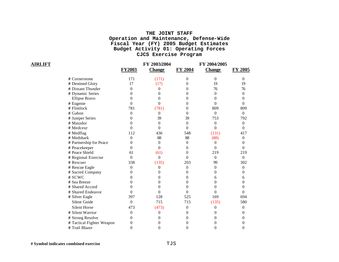|                           | <b>FY2003</b>    | FY 2003/2004<br><b>Change</b> | FY 2004        | FY 2004/2005<br><b>Change</b> | FY 2005          |
|---------------------------|------------------|-------------------------------|----------------|-------------------------------|------------------|
|                           |                  |                               |                |                               |                  |
| # Cornerstone             | 171              | (171)                         | $\theta$       | $\theta$                      | $\Omega$         |
| # Destined Glory          | 17               | (17)                          | 0              | 19                            | 19               |
| # Distant Thunder         | $\theta$         | $\theta$                      | 0              | 76                            | 76               |
| # Dynamic Series          | $\Omega$         | $\theta$                      | 0              | $\overline{0}$                | $\theta$         |
| <b>Ellipse Bravo</b>      | 0                | $\theta$                      | 0              | $\Omega$                      | $\Omega$         |
| # Eugenie                 | $\Omega$         | $\theta$                      | $\Omega$       | $\theta$                      | $\Omega$         |
| # Flintlock               | 781              | (781)                         | 0              | 809                           | 809              |
| # Gabon                   | $\overline{0}$   | $\theta$                      | $\overline{0}$ | $\boldsymbol{0}$              | $\boldsymbol{0}$ |
| # Juniper Series          | 0                | 39                            | 39             | 753                           | 792              |
| # Matador                 | 0                | $\overline{0}$                | $\overline{0}$ | $\overline{0}$                | $\overline{0}$   |
| # Medceur                 | 0                | $\theta$                      | $\theta$       | $\theta$                      | $\Omega$         |
| # Medflag                 | 112              | 436                           | 548            | (131)                         | 417              |
| # Medshark                | $\overline{0}$   | 88                            | 88             | (88)                          | $\theta$         |
| # Partnership for Peace   | $\overline{0}$   | $\boldsymbol{0}$              | $\overline{0}$ | $\theta$                      | $\theta$         |
| # Peacekeeper             | 0                | $\theta$                      | $\Omega$       | $\theta$                      | $\Omega$         |
| # Peace Shield            | 61               | (61)                          | $\theta$       | 219                           | 219              |
| # Regional Exercise       | $\Omega$         | $\Omega$                      | $\Omega$       | $\overline{0}$                | $\Omega$         |
| # Rescuer                 | 338              | (135)                         | 203            | 99                            | 302              |
| # Rescue Eagle            | $\theta$         | 0                             | $\overline{0}$ | $\mathbf{0}$                  | $\overline{0}$   |
| # Sacred Company          | 0                | 0                             | 0              | $\theta$                      | $\Omega$         |
| # SCWC                    | 0                | 0                             | $\Omega$       | 6                             | 6                |
| # Sea Breeze              | 0                | $\boldsymbol{0}$              | 0              | $\boldsymbol{0}$              | $\theta$         |
| # Shared Accord           | 0                | $\theta$                      | 0              | $\theta$                      | $\theta$         |
| # Shared Endeavor         | $\theta$         | $\overline{0}$                | $\theta$       | $\boldsymbol{0}$              | $\overline{0}$   |
| # Silver Eagle            | 397              | 128                           | 525            | 169                           | 694              |
| <b>Silent Guide</b>       | $\theta$         | 715                           | 715            | (135)                         | 580              |
| <b>Silent Horse</b>       | 473              | (473)                         | $\overline{0}$ | $\theta$                      | $\theta$         |
| # Silent Warrior          | $\Omega$         | 0                             | 0              | $\Omega$                      | $\Omega$         |
| # Strong Resolve          | 0                | 0                             | 0              | $\Omega$                      | $\Omega$         |
| # Tactical Fighter Weapon | 0                | 0                             | 0              | 0                             | $\theta$         |
| # Trail Blazer            | $\boldsymbol{0}$ | $\theta$                      | $\theta$       | $\boldsymbol{0}$              | $\theta$         |

 $\bf AIRLIFT$ 

**# Symbol indicates combined exercise** TJS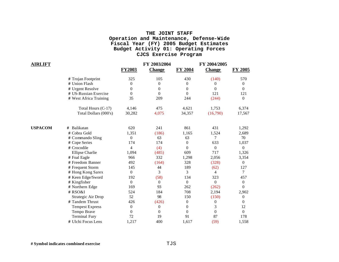| <b>AIRLIFT</b> |                        |                          | FY 2003/2004   |                | FY 2004/2005     |                  |
|----------------|------------------------|--------------------------|----------------|----------------|------------------|------------------|
|                |                        | <b>FY2003</b>            | <b>Change</b>  | <b>FY 2004</b> | <b>Change</b>    | <b>FY 2005</b>   |
|                | # Trojan Footprint     | 325                      | 105            | 430            | (140)            | 570              |
|                | # Union Flash          | 0                        | $\theta$       | $\theta$       | 0                | 0                |
|                | # Urgent Resolve       | 0                        | $\Omega$       | $\theta$       | $\theta$         | $\Omega$         |
|                | # US-Russian Exercise  | $\overline{0}$           | $\Omega$       | $\Omega$       | 121              | 121              |
|                | # West Africa Training | 35                       | 209            | 244            | (244)            | $\overline{0}$   |
|                | Total Hours (C-17)     | 4,146                    | 475            | 4,621          | 1,753            | 6,374            |
|                | Total Dollars (000's)  | 30,282                   | 4,075          | 34,357         | (16,790)         | 17,567           |
| <b>USPACOM</b> | Balikatan<br>#         | 620                      | 241            | 861            | 431              | 1,292            |
|                | # Cobra Gold           | 1,351                    | (186)          | 1,165          | 1,524            | 2,689            |
|                | # Commando Sling       | $\overline{0}$           | 63             | 63             | 7                | 70               |
|                | # Cope Series          | 174                      | 174            | $\theta$       | 633              | 1,037            |
|                | # Crocodile            | $\overline{\mathcal{L}}$ | (4)            | $\Omega$       | $\boldsymbol{0}$ | $\mathbf{0}$     |
|                | <b>Ellipse Charlie</b> | 1,094                    | (485)          | 609            | 717              | 1,326            |
|                | # Foal Eagle           | 966                      | 332            | 1,298          | 2,056            | 3,354            |
|                | # Freedom Banner       | 492                      | (164)          | 328            | (328)            | $\Omega$         |
|                | # Frequent Storm       | 145                      | 44             | 189            | (62)             | 127              |
|                | # Hong Kong Sarex      | $\overline{0}$           | 3              | 3              | $\overline{4}$   | 7                |
|                | # Keen Edge/Sword      | 192                      | (58)           | 134            | 323              | 457              |
|                | # Kingfisher           | $\overline{0}$           | $\overline{0}$ | $\mathbf{0}$   | $\overline{0}$   | $\boldsymbol{0}$ |
|                | # Northern Edge        | 169                      | 93             | 262            | (262)            | $\theta$         |
|                | # RSO&I                | 524                      | 184            | 708            | 2,194            | 2,902            |
|                | Strategic Air Drop     | 52                       | 98             | 150            | (150)            | $\boldsymbol{0}$ |
|                | # Tandem Thrust        | 426                      | (426)          | $\overline{0}$ | $\boldsymbol{0}$ | $\Omega$         |
|                | <b>Tempest Express</b> | $\boldsymbol{0}$         | $\theta$       | 0              | 3                | 12               |
|                | Tempo Brave            | 0                        | $\Omega$       | $\theta$       | $\overline{0}$   | $\Omega$         |
|                | <b>Terminal Fury</b>   | 72                       | 19             | 91             | 87               | 178              |
|                | # Ulchi Focus Lens     | 1.217                    | 400            | 1.617          | (59)             | 1,558            |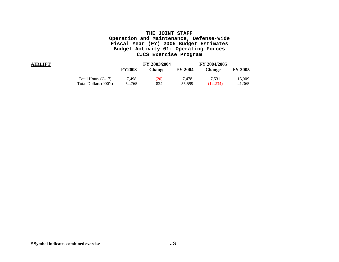| <b>AIRLIFT</b> |                       | <b>FY2003</b> | FY 2003/2004<br>Change | <b>FY 2004</b> | FY 2004/2005<br>Change | <b>FY 2005</b> |
|----------------|-----------------------|---------------|------------------------|----------------|------------------------|----------------|
|                | Total Hours (C-17)    | 7.498         | (20)                   | 7.478          | 7.531                  | 15,009         |
|                | Total Dollars (000's) | 54,765        | 834                    | 55.599         | (14.234)               | 41,365         |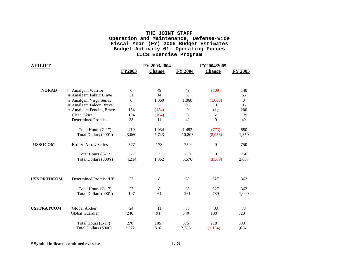| <b>AIRLIFT</b>    |                            | <b>FY2003</b>    | FY 2003/2004<br><b>Change</b> | <b>FY 2004</b> | FY2004/2005<br><b>Change</b> | <b>FY 2005</b> |
|-------------------|----------------------------|------------------|-------------------------------|----------------|------------------------------|----------------|
| <b>NORAD</b>      | Amalgam Warrior<br>#       | $\overline{0}$   | 49                            | 49             | (109)                        | 140            |
|                   | # Amalgam Fabric Brave     | 51               | 14                            | 65             | 1                            | 66             |
|                   | # Amalgam Virgo Series     | $\boldsymbol{0}$ | 1,060                         | 1,060          | (1,060)                      | $\overline{0}$ |
|                   | # Amalgam Falcon Brave     | 73               | 22                            | 95             | $\Omega$                     | 95             |
|                   | # Amalgam Fencing Brave    | 154              | (154)                         | $\overline{0}$ | (1)                          | 200            |
|                   | Clear Skies                | 104              | (104)                         | $\theta$       | 51                           | 179            |
|                   | <b>Determined Promise</b>  | 38               | 11                            | 49             | $\overline{0}$               | 49             |
|                   | Total Hours (C-17)         | 419              | 1,034                         | 1,453          | (773)                        | 680            |
|                   | Total Dollars (000's)      | 3,060            | 7,743                         | 10,803         | (8,953)                      | 1,850          |
| <b>USSOCOM</b>    | <b>Bronze Arrow Series</b> | 577              | 173                           | 750            | $\overline{0}$               | 750            |
|                   | Total Hours (C-17)         | 577              | 173                           | 750            | $\Omega$                     | 750            |
|                   | Total Dollars (000's)      | 4,214            | 1,362                         | 5,576          | (3,509)                      | 2,067          |
| <b>USNORTHCOM</b> | Determined Promise/UE      | 27               | $8\,$                         | 35             | 327                          | 362            |
|                   |                            |                  |                               |                |                              |                |
|                   | Total Hours (C-17)         | 27               | 8                             | 35             | 327                          | 362            |
|                   | Total Dollars (000's)      | 197              | 64                            | 261            | 739                          | 1,000          |
| <b>USSTRATCOM</b> | Global Archer              | 24               | 11                            | 35             | 38                           | 73             |
|                   | Global Guardian            | 246              | 94                            | 340            | 180                          | 520            |
|                   | Total Hours (C-17)         | 270              | 105                           | 375            | 218                          | 593            |
|                   | Total Dollars (\$000)      | 1,972            | 816                           | 2,788          | (1, 154)                     | 1,634          |

**# Symbol indicates combined exercise** TJS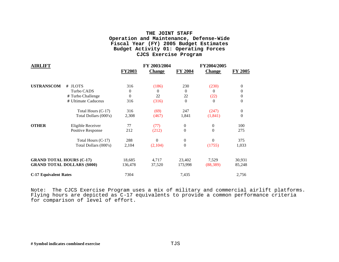| <b>AIRLIFT</b>                  |                                    |               | FY 2003/2004  |                  | FY2004/2005   |          |
|---------------------------------|------------------------------------|---------------|---------------|------------------|---------------|----------|
|                                 |                                    | <b>FY2003</b> | <b>Change</b> | <b>FY 2004</b>   | <b>Change</b> | FY 2005  |
| <b>USTRANSCOM</b>               | # JLOTS                            | 316           | (186)         | 230              | (230)         | $\Omega$ |
|                                 | Turbo CADS                         | $\theta$      | 0             | $\theta$         | $\Omega$      | $\Omega$ |
|                                 | # Turbo Challenge                  | $\Omega$      | 22            | 22               | (22)          | 0        |
|                                 | # Ultimate Caduceus                | 316           | (316)         | $\theta$         | $\Omega$      | $\theta$ |
|                                 | Total Hours (C-17)                 | 316           | (69)          | 247              | (247)         | $\Omega$ |
|                                 | Total Dollars (000's)              | 2,308         | (467)         | 1,841            | (1, 841)      | $\theta$ |
| <b>OTHER</b>                    | Eligible Receiver                  | 77            | (77)          | $\boldsymbol{0}$ | $\theta$      | 100      |
|                                 | Positive Response                  | 212           | (212)         | $\overline{0}$   | $\theta$      | 275      |
|                                 | Total Hours (C-17)                 | 288           | $\theta$      | $\boldsymbol{0}$ | $\Omega$      | 375      |
|                                 | Total Dollars (000's)              | 2,104         | (2,104)       | $\boldsymbol{0}$ | (1755)        | 1,033    |
| <b>GRAND TOTAL HOURS (C-17)</b> |                                    | 18,685        | 4,717         | 23,402           | 7,529         | 30,931   |
|                                 | <b>GRAND TOTAL DOLLARS (\$000)</b> | 136,478       | 37,520        | 173,998          | (88, 389)     | 85,248   |
| <b>C-17 Equivalent Rates</b>    |                                    | 7304          |               | 7,435            |               | 2,756    |

Note: The CJCS Exercise Program uses a mix of military and commercial airlift platforms. Flying hours are depicted as C-17 equivalents to provide a common performance criteria for comparison of level of effort.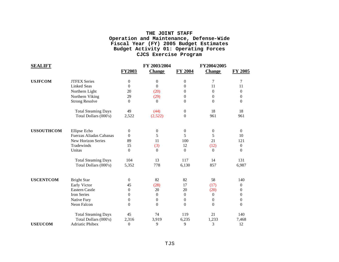| <b>SEALIFT</b>    |                            |                  | FY 2003/2004     |                  | FY2004/2005      |                  |
|-------------------|----------------------------|------------------|------------------|------------------|------------------|------------------|
|                   |                            | <b>FY2003</b>    | <b>Change</b>    | <b>FY 2004</b>   | <b>Change</b>    | <b>FY 2005</b>   |
| <b>USJFCOM</b>    | <b>JTFEX Series</b>        | $\boldsymbol{0}$ | $\overline{0}$   | $\boldsymbol{0}$ | 7                | 7                |
|                   | <b>Linked Seas</b>         | $\Omega$         | $\Omega$         | $\overline{0}$   | 11               | 11               |
|                   | Northern Light             | 20               | (20)             | $\overline{0}$   | $\Omega$         | $\theta$         |
|                   | Northern Viking            | 29               | (29)             | $\overline{0}$   | $\overline{0}$   | 0                |
|                   | <b>Strong Resolve</b>      | $\Omega$         | $\Omega$         | $\boldsymbol{0}$ | $\Omega$         | $\Omega$         |
|                   | <b>Total Steaming Days</b> | 49               | (44)             | $\boldsymbol{0}$ | 18               | 18               |
|                   | Total Dollars (000's)      | 2,522            | (2,522)          | $\boldsymbol{0}$ | 961              | 961              |
| <b>USSOUTHCOM</b> | Ellipse Echo               | $\overline{0}$   | $\boldsymbol{0}$ | $\boldsymbol{0}$ | $\boldsymbol{0}$ | $\Omega$         |
|                   | Fuerzas Aliadas Cabanas    | $\Omega$         | 5                | 5                | 5                | 10               |
|                   | New Horizon Series         | 89               | 11               | 100              | 21               | 121              |
|                   | Tradewinds                 | 15               | (3)              | 12               | (12)             | $\boldsymbol{0}$ |
|                   | Unitas                     | $\Omega$         | $\overline{0}$   | $\boldsymbol{0}$ | $\overline{0}$   | $\theta$         |
|                   | <b>Total Steaming Days</b> | 104              | 13               | 117              | 14               | 131              |
|                   | Total Dollars (000's)      | 5,352            | 778              | 6,130            | 857              | 6,987            |
| <b>USCENTCOM</b>  | <b>Bright Star</b>         | $\boldsymbol{0}$ | 82               | 82               | 58               | 140              |
|                   | Early Victor               | 45               | (28)             | 17               | (17)             | $\boldsymbol{0}$ |
|                   | <b>Eastern Castle</b>      | $\theta$         | 20               | 20               | (20)             | 0                |
|                   | Iron Series                | $\Omega$         | $\overline{0}$   | $\boldsymbol{0}$ | $\overline{0}$   | 0                |
|                   | Native Fury                | $\theta$         | $\boldsymbol{0}$ | $\boldsymbol{0}$ | $\boldsymbol{0}$ | $\boldsymbol{0}$ |
|                   | Neon Falcon                | $\theta$         | $\theta$         | $\boldsymbol{0}$ | $\boldsymbol{0}$ | $\theta$         |
|                   | <b>Total Steaming Days</b> | 45               | 74               | 119              | 21               | 140              |
|                   | Total Dollars (000's)      | 2,316            | 3,919            | 6,235            | 1,233            | 7,468            |
| <b>USEUCOM</b>    | Adriatic Phibex            | $\theta$         | 9                | 9                | 3                | 12               |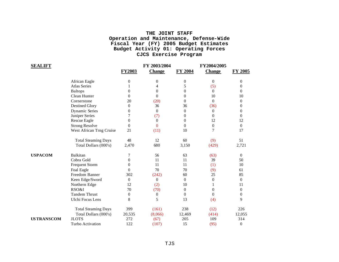| SEALIFT           |                            |                | FY 2003/2004   |                  | FY2004/2005      |                  |
|-------------------|----------------------------|----------------|----------------|------------------|------------------|------------------|
|                   |                            | <b>FY2003</b>  | <b>Change</b>  | <b>FY 2004</b>   | <b>Change</b>    | <b>FY 2005</b>   |
|                   | African Eagle              | $\theta$       | $\theta$       | $\boldsymbol{0}$ | 0                | 0                |
|                   | <b>Atlas Series</b>        |                | 4              | 5                | (5)              | 0                |
|                   | <b>Baltops</b>             | $\theta$       | $\overline{0}$ | $\boldsymbol{0}$ | $\overline{0}$   | 0                |
|                   | Clean Hunter               | $\Omega$       | $\theta$       | $\theta$         | 10               | 10               |
|                   | Cornerstone                | 20             | (20)           | $\mathbf{0}$     | $\theta$         | $\theta$         |
|                   | <b>Destined Glory</b>      | $\theta$       | 36             | 36               | (36)             | 0                |
|                   | <b>Dynamic Series</b>      | 0              | $\overline{0}$ | $\boldsymbol{0}$ | $\boldsymbol{0}$ | $\theta$         |
|                   | Juniper Series             | 7              | (7)            | $\overline{0}$   | 0                | $\theta$         |
|                   | <b>Rescue Eagle</b>        | $\theta$       | $\theta$       | $\theta$         | 12               | 12               |
|                   | <b>Strong Resolve</b>      | $\Omega$       | $\Omega$       | $\boldsymbol{0}$ | $\boldsymbol{0}$ | $\Omega$         |
|                   | West African Trng Cruise   | 21             | (11)           | 10               | 7                | 17               |
|                   | <b>Total Steaming Days</b> | 48             | 12             | 60               | (9)              | 51               |
|                   | Total Dollars (000's)      | 2,470          | 680            | 3,150            | (429)            | 2,721            |
| <b>USPACOM</b>    | Balkitan                   | 7              | 56             | 63               | (63)             | $\Omega$         |
|                   | Cobra Gold                 | $\Omega$       | 11             | 11               | 39               | 50               |
|                   | <b>Frequent Storm</b>      | 0              | 11             | 11               | (1)              | 10               |
|                   | Foal Eagle                 | $\Omega$       | 70             | 70               | (9)              | 61               |
|                   | Freedom Banner             | 302            | (242)          | 60               | 25               | 85               |
|                   | Keen Edge/Sword            | $\overline{0}$ | $\overline{0}$ | $\mathbf{0}$     | $\theta$         | $\Omega$         |
|                   | Northern Edge              | 12             | (2)            | 10               | 1                | 11               |
|                   | RSO&I                      | 70             | (70)           | $\boldsymbol{0}$ | $\boldsymbol{0}$ | $\overline{0}$   |
|                   | <b>Tandem Thrust</b>       | $\Omega$       | $\overline{0}$ | $\overline{0}$   | $\Omega$         | $\Omega$         |
|                   | Ulchi Focus Lens           | 8              | 5              | 13               | (4)              | 9                |
|                   | <b>Total Steaming Days</b> | 399            | (161)          | 238              | (12)             | 226              |
|                   | Total Dollars (000's)      | 20,535         | (8,066)        | 12,469           | (414)            | 12,055           |
| <b>USTRANSCOM</b> | <b>JLOTS</b>               | 272            | (67)           | 205              | 109              | 314              |
|                   | Turbo Activation           | 122            | (107)          | 15               | (95)             | $\boldsymbol{0}$ |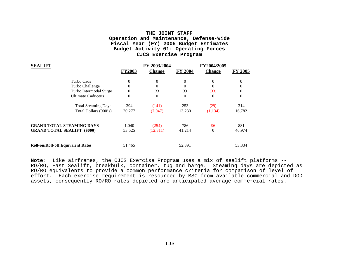| <b>SEALIFT</b>                           |               | FY 2003/2004  |                | FY2004/2005   |                |
|------------------------------------------|---------------|---------------|----------------|---------------|----------------|
|                                          | <b>FY2003</b> | <b>Change</b> | <b>FY 2004</b> | <b>Change</b> | <b>FY 2005</b> |
| Turbo Cads                               | 0             | $\Omega$      | $\theta$       | 0             | 0              |
| Turbo Challenge                          |               | $\Omega$      | $\Omega$       | $\Omega$      |                |
| Turbo Intermodal Surge                   | 0             | 33            | 33             | (33)          |                |
| <b>Ultimate Caduceus</b>                 | 0             | $\Omega$      | $\theta$       | $\theta$      | 0              |
| <b>Total Steaming Days</b>               | 394           | (141)         | 253            | (29)          | 314            |
| Total Dollars (000's)                    | 20,277        | (7,047)       | 13,230         | (1,134)       | 16,782         |
| <b>GRAND TOTAL STEAMING DAYS</b>         | 1,040         | (254)         | 786            | 96            | 881            |
| <b>GRAND TOTAL SEALIFT (\$000)</b>       | 53,525        | (12,311)      | 41,214         | $\theta$      | 46,974         |
| <b>Roll-on/Roll-off Equivalent Rates</b> | 51,465        |               | 52,391         |               | 53,334         |

**Note**: Like airframes, the CJCS Exercise Program uses a mix of sealift platforms -- RO/RO, Fast Sealift, breakbulk, container, tug and barge. Steaming days are depicted as RO/RO equivalents to provide a common performance criteria for comparison of level of effort. Each exercise requirement is resourced by MSC from available commercial and DOD assets, consequently RO/RO rates depicted are anticipated average commercial rates.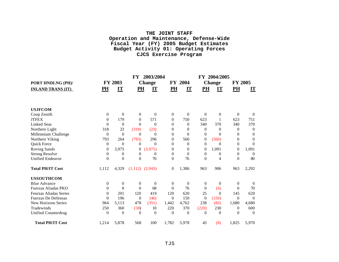|                               |          |                | FY             | 2003/2004           |                |                | FY               | 2004/2005     |                |                         |
|-------------------------------|----------|----------------|----------------|---------------------|----------------|----------------|------------------|---------------|----------------|-------------------------|
| PORT HNDLNG (PH)/             |          | <b>FY 2003</b> |                | <b>Change</b>       |                | FY 2004        |                  | <b>Change</b> | <b>FY 2005</b> |                         |
| <b>INLAND TRANS (IT)</b>      | PH       | IT             | PH             | IT                  | PH             | $\bf{I}$       | PH               | IT            | P <sub>H</sub> | $\mathbf{I} \mathbf{T}$ |
|                               |          |                |                |                     |                |                |                  |               |                |                         |
| <b>USJFCOM</b>                |          |                |                |                     |                |                |                  |               |                |                         |
| Coop Zenith                   | $\theta$ | $\Omega$       | $\theta$       | $\theta$            | $\theta$       | $\theta$       | $\Omega$         | $\theta$      | $\Omega$       | $\Omega$                |
| <b>JTFEX</b>                  | $\Omega$ | 179            | $\Omega$       | 571                 | $\Omega$       | 750            | 623              | 1             | 623            | 751                     |
| <b>Linked Seas</b>            | $\Omega$ | $\Omega$       | $\Omega$       | $\theta$            | $\Omega$       | $\theta$       | 340              | 370           | 340            | 370                     |
| Northern Light                | 318      | 23             | (318)          | (23)                | $\Omega$       | $\overline{0}$ | $\Omega$         | $\Omega$      | $\Omega$       | $\Omega$                |
| Millennium Challenge          | $\Omega$ | $\theta$       | $\Omega$       | $\Omega$            | $\theta$       | $\Omega$       | 0                | $\Omega$      | 0              | $\theta$                |
| Northern Viking               | 793      | 264            | (793)          | 296                 | $\overline{0}$ | 560            | $\boldsymbol{0}$ | (560)         | 0              | $\theta$                |
| Quick Force                   | $\theta$ | $\Omega$       | $\Omega$       | $\Omega$            | $\Omega$       | $\Omega$       | $\theta$         | $\Omega$      | 0              | $\Omega$                |
| <b>Roving Sands</b>           | $\theta$ | 3,975          | $\theta$       | (3,975)             | $\theta$       | $\theta$       | $\theta$         | 1,091         | $\theta$       | 1,091                   |
| <b>Strong Resolve</b>         | $\theta$ | $\theta$       | $\theta$       | $\theta$            | $\theta$       | $\overline{0}$ | $\theta$         | $\theta$      | $\Omega$       | $\Omega$                |
| <b>Unified Endeavor</b>       | $\theta$ | $\overline{0}$ | $\overline{0}$ | 76                  | $\overline{0}$ | 76             | $\overline{0}$   | 4             | $\Omega$       | 80                      |
| <b>Total PH/IT Cost</b>       | 1,112    | 4,329          |                | $(1,112)$ $(2,943)$ | $\theta$       | 1,386          | 963              | 906           | 963            | 2,292                   |
| <b>USSOUTHCOM</b>             |          |                |                |                     |                |                |                  |               |                |                         |
| <b>Blue Advance</b>           | $\Omega$ | $\theta$       | $\theta$       | $\theta$            | $\theta$       | $\overline{0}$ | $\theta$         | $\theta$      | $\theta$       | $\overline{0}$          |
| Fuerzas Aliadas PKO           | $\theta$ | 8              | $\overline{0}$ | 68                  | $\Omega$       | 76             | $\theta$         | (6)           | $\theta$       | 70                      |
| <b>Feurzas Aliadas Series</b> | $\Omega$ | 201            | 120            | 419                 | 120            | 620            | 25               | $\Omega$      | 145            | 620                     |
| <b>Fuerzas De Defensas</b>    | $\Omega$ | 196            | $\theta$       | (46)                | $\Omega$       | 150            | $\theta$         | (150)         | $\Omega$       | $\Omega$                |
| <b>New Horizons Series</b>    | 964      | 5,113          | 478            | (351)               | 1,442          | 4,762          | 238              | (82)          | 1,680          | 4,680                   |
| Tradewinds                    | 250      | 360            | (30)           | 10                  | 220            | 370            | (220)            | 230           | $\theta$       | 600                     |
| <b>Unified Counterdrug</b>    | $\Omega$ | $\overline{0}$ | $\theta$       | $\Omega$            | $\Omega$       | $\theta$       | $\Omega$         | $\Omega$      | $\Omega$       | $\Omega$                |
| <b>Total PH/IT Cost</b>       | 1,214    | 5,878          | 568            | 100                 | 1,782          | 5,978          | 43               | (8)           | 1,825          | 5,970                   |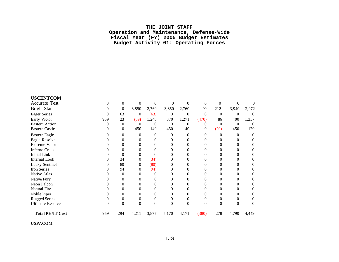| <b>USCENTCOM</b>        |          |                |          |          |          |          |          |          |          |                |
|-------------------------|----------|----------------|----------|----------|----------|----------|----------|----------|----------|----------------|
| Accurate Test           | $\Omega$ | $\overline{0}$ | $\theta$ | $\Omega$ | $\Omega$ | $\Omega$ | $\theta$ | $\Omega$ | $\Omega$ |                |
| <b>Bright Star</b>      | 0        | $\theta$       | 3,850    | 2,760    | 3,850    | 2,760    | 90       | 212      | 3,940    | 2,972          |
| <b>Eager Series</b>     | 0        | 63             | $\theta$ | (63)     | $\theta$ | $\theta$ | $\theta$ | $\Omega$ | $\Omega$ | $\theta$       |
| Early Victor            | 959      | 23             | (89)     | 1,248    | 870      | 1,271    | (470)    | 86       | 400      | 1,357          |
| <b>Eastern Action</b>   | 0        | $\theta$       | $\theta$ | $\Omega$ | $\theta$ | $\Omega$ | 0        | $\Omega$ | $\Omega$ | $\Omega$       |
| Eastern Castle          |          | $\Omega$       | 450      | 140      | 450      | 140      | 0        | (20)     | 450      | 120            |
| Eastern Eagle           | 0        | 0              | 0        | $\Omega$ | 0        | 0        | 0        | $\theta$ | $\Omega$ | $\overline{0}$ |
| Eagle Resolve           |          | $\Omega$       | 0        |          | 0        | 0        |          | 0        | 0        | 0              |
| Extreme Valor           |          | $\Omega$       | 0        |          | $\theta$ | 0        |          | 0        | 0        | 0              |
| <b>Inferno Creek</b>    |          | $\Omega$       | 0        |          | 0        | 0        |          | 0        | 0        |                |
| <b>Initial Link</b>     |          | $\Omega$       | 0        |          | 0        | 0        |          | 0        | 0        | 0              |
| <b>Internal Look</b>    |          | 34             | $\theta$ | (34)     | 0        | 0        |          | 0        |          |                |
| Lucky Sentinel          |          | 80             | 0        | (80)     | 0        | 0        |          | 0        | 0        | 0              |
| Iron Series             |          | 94             | 0        | (94)     | 0        |          |          | 0        |          |                |
| Native Atlas            |          | $\Omega$       | 0        |          | 0        | 0        |          | $\Omega$ | 0        | 0              |
| Native Fury             |          | $\Omega$       | 0        |          | 0        | 0        |          | 0        |          |                |
| Neon Falcon             |          | $\Omega$       | 0        |          | 0        | 0        |          | $\Omega$ | 0        | 0              |
| Natural Fire            |          | $\Omega$       | 0        |          | 0        | 0        |          | 0        | 0        |                |
| Noble Piper             |          | $\Omega$       | $\theta$ | 0        | $\theta$ | $\Omega$ |          | $\Omega$ | 0        | 0              |
| <b>Rugged Series</b>    |          | $\Omega$       | 0        |          | 0        | $\Omega$ |          | 0        | 0        | 0              |
| <b>Ultimate Resolve</b> | $\Omega$ | $\theta$       | $\theta$ | $\Omega$ | $\Omega$ | $\Omega$ | 0        | $\theta$ | 0        | 0              |
| <b>Total PH/IT Cost</b> | 959      | 294            | 4,211    | 3,877    | 5,170    | 4,171    | (380)    | 278      | 4,790    | 4,449          |

**USPACOM**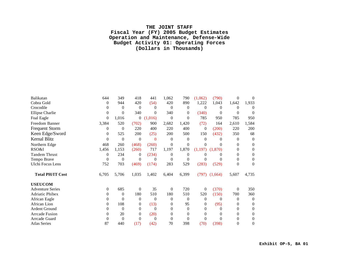## **THE JOINT STAFF Fiscal Year (FY) 2005 Budget Estimates Operation and Maintenance, Defense-Wide Budget Activity 01: Operating Forces (Dollars in Thousands)**

| Balikatan               | 644      | 349              | 418            | 441      | 1,062    | 790            | (1,062)  | (790)    | $\Omega$ | $\theta$       |
|-------------------------|----------|------------------|----------------|----------|----------|----------------|----------|----------|----------|----------------|
| Cobra Gold              | $\theta$ | 944              | 420            | (54)     | 420      | 890            | 1,222    | 1,043    | 1,642    | 1,933          |
| Crocodile               | $\Omega$ | $\Omega$         | $\Omega$       | $\Omega$ | $\Omega$ | $\Omega$       | $\Omega$ | $\Omega$ | $\Omega$ | $\Omega$       |
| <b>Ellipse Charlie</b>  | $\Omega$ | $\Omega$         | 340            | $\Omega$ | 340      | $\Omega$       | (340)    | $\Omega$ | $\Omega$ | $\Omega$       |
| Foal Eagle              | $\Omega$ | 1,016            | $\overline{0}$ | (1,016)  | $\Omega$ | $\overline{0}$ | 785      | 950      | 785      | 950            |
| Freedom Banner          | 3,384    | 520              | (702)          | 900      | 2,682    | 1,420          | (72)     | 164      | 2,610    | 1,584          |
| <b>Frequent Storm</b>   | $\Omega$ | $\Omega$         | 220            | 400      | 220      | 400            | $\theta$ | (200)    | 220      | 200            |
| Keen Edge/Sword         | $\Omega$ | 525              | 200            | (25)     | 200      | 500            | 150      | (432)    | 350      | 68             |
| <b>Kernal Blitz</b>     | $\Omega$ | $\theta$         | $\theta$       | $\Omega$ | $\Omega$ | $\theta$       | $\Omega$ | 0        | $\Omega$ | $\Omega$       |
| Northern Edge           | 468      | 260              | (468)          | (260)    | $\Omega$ | $\theta$       | 0        | 0        | 0        | $\Omega$       |
| RSO&I                   | 1,456    | 1,153            | (260)          | 717      | 1,197    | 1,870          | (1, 197) | (1,870)  | 0        | $\Omega$       |
| <b>Tandem Thrust</b>    | $\Omega$ | 234              | $\theta$       | (234)    | $\theta$ | $\theta$       | 0        | $_{0}$   | 0        | $\Omega$       |
| Tempo Brave             | $\Omega$ | $\boldsymbol{0}$ | $\Omega$       | $\theta$ | $\Omega$ | $\theta$       | 0        | 0        | 0        | 0              |
| Ulchi Focus Lens        | 752      | 703              | (469)          | (174)    | 283      | 529            | (283)    | (529)    | $\theta$ | $\overline{0}$ |
| <b>Total PH/IT Cost</b> | 6,705    | 5,706            | 1,035          | 1,402    | 6,404    | 6,399          | (797)    | (1,664)  | 5,607    | 4,735          |
| <b>USEUCOM</b>          |          |                  |                |          |          |                |          |          |          |                |
| <b>Adventure Series</b> | $\Omega$ | 685              | $\theta$       | 35       | $\Omega$ | 720            | $\Omega$ | (370)    | $\Omega$ | 350            |
| <b>Adriatic Phibex</b>  | 0        | $\theta$         | 180            | 510      | 180      | 510            | 520      | (150)    | 700      | 360            |
| African Eagle           | 0        | $\Omega$         | $\Omega$       | $\Omega$ | $\Omega$ | $\theta$       | 0        | $\theta$ | $\Omega$ | $\Omega$       |
| African Lion            | $\Omega$ | 108              | $\theta$       | (13)     | $\Omega$ | 95             | 0        | (95)     | 0        | $\Omega$       |
| Ardent Ground           | 0        | $\theta$         | $\Omega$       | $\Omega$ | $\Omega$ | $\theta$       | 0        | $\theta$ | 0        | $\Omega$       |
| <b>Arrcade Fusion</b>   | 0        | 20               | $\theta$       | (20)     | 0        | $\overline{0}$ | 0        | 0        | 0        | $\Omega$       |
| Arrcade Guard           |          | 0                | $\Omega$       | $\Omega$ | $\Omega$ | $\Omega$       | 0        |          | 0        | 0              |
| <b>Atlas Series</b>     | 87       | 440              | (17)           | (42)     | 70       | 398            | (70)     | (398)    | 0        | $\overline{0}$ |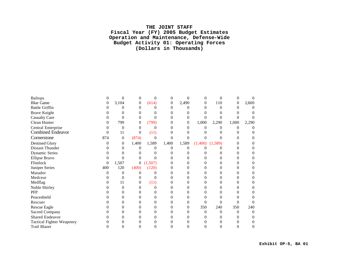## **THE JOINT STAFF Fiscal Year (FY) 2005 Budget Estimates Operation and Maintenance, Defense-Wide Budget Activity 01: Operating Forces (Dollars in Thousands)**

| <b>Baltops</b>                   |     | $\Omega$          | $\overline{0}$   | $\Omega$ | 0        | $\theta$ | 0              | 0                 | 0        |       |
|----------------------------------|-----|-------------------|------------------|----------|----------|----------|----------------|-------------------|----------|-------|
| <b>Blue Game</b>                 | 0   | 3,104             | $\overline{0}$   | (614)    | 0        | 2,490    | $\overline{0}$ | 110               | $\theta$ | 2,600 |
| <b>Battle Griffin</b>            |     |                   | 0                |          | 0        | 0        | 0              | $\theta$          | 0        |       |
| <b>Brave Knight</b>              |     |                   | 0                |          | 0        |          |                |                   |          |       |
| <b>Casualty Care</b>             |     |                   | 0                |          |          | 0        |                |                   |          |       |
| Clean Hunter                     | 0   | 799               | $\Omega$         | (799)    | 0        | 0        | 1,000          | 2,290             | 1,000    | 2,290 |
| Central Enterprise               |     | $\Omega$          | $\Omega$         | 0        | 0        | 0        | 0              | 0                 | 0        |       |
| <b>Combined Endeavor</b>         | 0   | 11                | $\overline{0}$   | (11)     | 0        | 0        |                |                   |          |       |
| Cornerstone                      | 874 | $\overline{0}$    | (874)            | $\theta$ | 0        | 0        |                |                   | 0        |       |
| <b>Destined Glory</b>            |     | $\overline{0}$    | 1,400            | 1,589    | 1,400    | 1,589    | (1,400)        | (1,589)           |          |       |
| Distant Thunder                  |     |                   |                  |          | $^{(1)}$ | 0        |                |                   | 0        |       |
| <b>Dynamic Series</b>            |     |                   |                  |          |          |          |                |                   | 0        |       |
| Ellipse Bravo                    |     | 0                 | 0                | 0        | $^{(1)}$ | 0        |                | $\mathbf{\Omega}$ | 0        |       |
| Flintlock                        | 0   | 1,507             | $\boldsymbol{0}$ | (1,507)  | 0        | 0        |                |                   | 0        |       |
| Juniper Series                   | 400 | 120               | (400)            | (120)    | 0        | 0        | 0              |                   | 0        |       |
| Matador                          | 0   | 0                 |                  |          | 0        | 0        | 0              | 0                 | 0        |       |
| Medceur                          |     | $\Omega$          |                  |          | 0        | 0        |                |                   | 0        |       |
| Medflag                          |     | 11                | 0                | (11)     | 0        | 0        | 0              |                   | 0        |       |
| Noble Shirley                    |     | 0                 | 0                |          | 0        | 0        |                |                   | 0        |       |
| PFP                              |     |                   | 0                |          |          | 0        |                |                   |          |       |
| Peaceshield                      |     | $\mathbf{\Omega}$ | 0                |          | 0        | 0        | 0              |                   | 0        |       |
| Rescuer                          |     |                   |                  |          | 0        | 0        | 0              | 0                 |          |       |
| Rescue Eagle                     |     |                   |                  |          | 0        | 0        | 350            | 240               | 350      | 240   |
| <b>Sacred Company</b>            |     | $^{(1)}$          | 0                |          | 0        | 0        | $\Omega$       | 0                 | 0        |       |
| Shared Endeavor                  |     |                   |                  |          |          | 0        |                |                   |          |       |
| <b>Tactical Fighter Weaponry</b> |     |                   |                  |          |          |          |                |                   |          |       |
| <b>Trail Blazer</b>              |     |                   |                  |          |          | 0        |                |                   |          |       |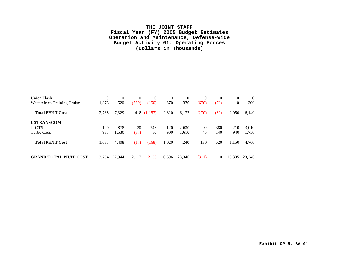## **THE JOINT STAFF Fiscal Year (FY) 2005 Budget Estimates Operation and Maintenance, Defense-Wide Budget Activity 01: Operating Forces (Dollars in Thousands)**

| Union Flash<br>West Africa Training Cruise      | $\Omega$<br>1,376 | $\theta$<br>520 | $\theta$<br>(760) | $\Omega$<br>(150) | $\Omega$<br>670 | $\Omega$<br>370 | $\overline{0}$<br>(670) | $\Omega$<br>(70) | $\Omega$<br>$\theta$ | $\theta$<br>300 |
|-------------------------------------------------|-------------------|-----------------|-------------------|-------------------|-----------------|-----------------|-------------------------|------------------|----------------------|-----------------|
| <b>Total PH/IT Cost</b>                         | 2,738             | 7,329           |                   | 418 (1,157)       | 2,320           | 6,172           | (270)                   | (32)             | 2,050                | 6,140           |
| <b>USTRANSCOM</b><br><b>JLOTS</b><br>Turbo Cads | 100<br>937        | 2.878<br>1,530  | 20<br>(37)        | 248<br>80         | 120<br>900      | 2,630<br>1,610  | 90<br>40                | 380<br>140       | 210<br>940           | 3,010<br>1,750  |
| <b>Total PH/IT Cost</b>                         | 1,037             | 4,408           | (17)              | (168)             | 1,020           | 4,240           | 130                     | 520              | 1,150                | 4,760           |
| <b>GRAND TOTAL PH/IT COST</b>                   | 13.764            | 27,944          | 2,117             | 2133              | 16.696          | 28,346          | (311)                   | 0                | 16,385               | 28,346          |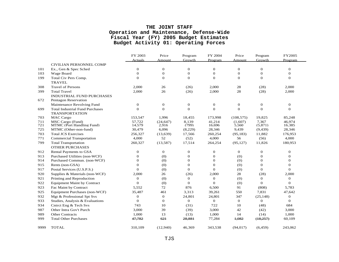|      |                                                                 | FY 2003          | Price          | Program        | FY 2004        | Price        | Program      | FY2005           |
|------|-----------------------------------------------------------------|------------------|----------------|----------------|----------------|--------------|--------------|------------------|
|      |                                                                 | <b>Actuals</b>   | Amount         | Growth         | Program        | Amount       | Growth       | Program          |
|      | CIVILIAN PERSONNEL COMP                                         |                  |                |                |                |              |              |                  |
| 101  | Ex., Gen & Spec Sched                                           | $\boldsymbol{0}$ | $\mathbf 0$    | $\mathbf{0}$   | $\mathbf{0}$   | $\mathbf{0}$ | $\mathbf{0}$ | $\mathbf{0}$     |
| 103  | Wage Board                                                      | $\overline{0}$   | $\mathbf{O}$   | $\theta$       | $\Omega$       | $\theta$     | $\theta$     | $\mathbf{0}$     |
| 199  | Total Civ Pers Comp.                                            | $\overline{0}$   | $\mathbf{O}$   | $\mathbf{0}$   | $\overline{0}$ | $\mathbf{O}$ | $\theta$     | $\mathbf{0}$     |
|      | <b>TRAVEL</b>                                                   |                  |                |                |                |              |              |                  |
| 308  | <b>Travel of Persons</b>                                        | 2,000            | 26             | (26)           | 2,000          | 28           | (28)         | 2,000            |
| 399  | <b>Total Travel</b>                                             | 2,000            | 26             | (26)           | 2,000          | 28           | (28)         | 2,000            |
|      | <b>INDUSTRIAL FUND PURCHASES</b>                                |                  |                |                |                |              |              |                  |
| 672  | <b>Pentagon Reservation</b>                                     |                  |                |                |                |              |              |                  |
|      | Maintenance Revolving Fund                                      | $\mathbf{0}$     | $\mathbf 0$    | $\mathbf{0}$   | $\mathbf{0}$   | $\mathbf{0}$ | $\mathbf{0}$ | $\boldsymbol{0}$ |
| 699  | <b>Total Industrial Fund Purchases</b><br><b>TRANSPORTATION</b> | $\overline{0}$   | $\overline{0}$ | $\theta$       | $\overline{0}$ | $\mathbf{O}$ | $\mathbf{O}$ | $\mathbf 0$      |
| 703  | MAC Cargo                                                       | 153,547          | 1,996          | 18,455         | 173,998        | (108, 575)   | 19,825       | 85,248           |
| 711  | MSC Cargo (Fund)                                                | 57,722           | (24, 647)      | 8,139          | 41,214         | (1,607)      | 7,367        | 46,974           |
| 721  | MTMC (Port Handling Fund)                                       | 14.579           | 2.916          | (799)          | 16.696         | 5.560        | (5.871)      | 16.385           |
| 725  | MTMC (Other-non-fund)                                           | 30,479           | 6,096          | (8,229)        | 28,346         | 9,439        | (9, 439)     | 28,346           |
| 703  | <b>Total JCS Exercises</b>                                      | 256,327          | (13, 639)      | 17,566         | 260,254        | (95, 183)    | 11,882       | 176,953          |
| 771  | <b>Commercial Transportation</b>                                | 4,000            | 52             | (52)           | 4,000          | 56           | (56)         | 4,000            |
| 799  | <b>Total Transportation</b>                                     | 260,327          | (13, 587)      | 17,514         | 264,254        | (95, 127)    | 11,826       | 180,953          |
|      | <b>OTHER PURCHASES</b>                                          |                  |                |                |                |              |              |                  |
| 912  | Rental Payments to GSA                                          | $\mathbf{0}$     | $\mathbf{0}$   | $\mathbf{0}$   | $\mathbf{0}$   | $\mathbf{0}$ | $\mathbf{0}$ | $\mathbf{0}$     |
| 913  | Purchased Utilities (non-WCF)                                   | $\mathbf{0}$     | (0)            | $\mathbf{0}$   | $\mathbf{0}$   | (0)          | $\mathbf 0$  | $\mathbf{0}$     |
| 914  | Purchased Commun. (non-WCF)                                     | $\Omega$         | (0)            | $\theta$       | $\Omega$       | (0)          | $\mathbf{0}$ | $\mathbf{0}$     |
| 915  | Rents (non-GSA)                                                 | $\overline{0}$   | (0)            | $\theta$       | $\mathbf{0}$   | (0)          | $\mathbf{0}$ | $\mathbf{0}$     |
| 917  | Postal Services (U.S.P.S.)                                      | $\Omega$         | (0)            | $\theta$       | $\mathbf{0}$   | (0)          | $\Omega$     | $\overline{0}$   |
| 920  | Supplies & Materials (non-WCF)                                  | 2,000            | 26             | (26)           | 2,000          | 28           | (28)         | 2,000            |
| 921  | Printing and Reproduction                                       | $\mathbf 0$      | (0)            | $\mathbf{0}$   | $\mathbf{0}$   | (0)          | $\theta$     | $\overline{0}$   |
| 922  | <b>Equipment Maint by Contract</b>                              | $\overline{0}$   | (0)            | $\theta$       | $\Omega$       | (0)          | $\mathbf{O}$ | $\overline{0}$   |
| 923  | Fac Maint by Contract                                           | 5,552            | 72             | 876            | 6,500          | 91           | (808)        | 5,783            |
| 925  | Equipment Purchases (non-WCF)                                   | 35,487           | 461            | 3,313          | 39,261         | 550          | 7,831        | 47,642           |
| 932  | Mgt & Professional Spt Svs                                      | $\mathbf 0$      | $\overline{0}$ | 24,801         | 24,801         | 347          | (25, 148)    | $\mathbf{0}$     |
| 933  | Studies, Analysis & Evaluations                                 | $\theta$         | $\mathbf{O}$   | $\overline{0}$ | $\mathbf{O}$   | $\mathbf{0}$ | $\mathbf{O}$ | $\mathbf{0}$     |
| 934  | Cntrct Eng & Tech Svs                                           | 743              | 10             | (31)           | 722            | 10           | (48)         | 684              |
| 987  | Other Intra Gov't Purch                                         | 3,000            | 39             | (39)           | 3,000          | 42           | (42)         | 3,000            |
| 989  | <b>Other Contracts</b>                                          | 1,000            | 13             | (13)           | 1,000          | 14           | (14)         | 1,000            |
| 999  | <b>Total Other Purchases</b>                                    | 47,782           | 621            | 28,881         | 77,284         | 1,082        | (18, 257)    | 60,109           |
| 9999 | <b>TOTAL</b>                                                    | 310.109          | (12,940)       | 46,369         | 343,538        | (94, 017)    | (6, 459)     | 243.062          |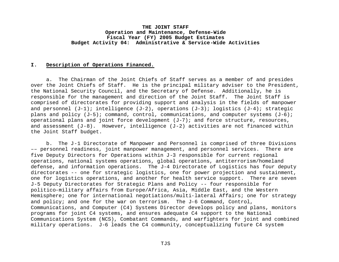## **I. Description of Operations Financed.**

a. The Chairman of the Joint Chiefs of Staff serves as a member of and presides over the Joint Chiefs of Staff. He is the principal military adviser to the President, the National Security Council, and the Secretary of Defense. Additionally, he is responsible for the management and direction of the Joint Staff. The Joint Staff is comprised of directorates for providing support and analysis in the fields of manpower and personnel (J-1); intelligence (J-2), operations (J-3); logistics (J-4); strategic plans and policy  $(J-5)$ ; command, control, communications, and computer systems  $(J-6)$ ; operational plans and joint force development  $(J-7)$ ; and force structure, resources, and assessment  $(J-8)$ . However, intelligence  $(J-2)$  activities are not financed within the Joint Staff budget.

b. The J-1 Directorate of Manpower and Personnel is comprised of three Divisions –– personnel readiness, joint manpower management, and personnel services. There are five Deputy Directors for Operations within J-3 responsible for current regional operations, national systems operations, global operations, antiterrorism/homeland defense, and information operations. The J-4 Directorate of Logistics has four deputy directorates -- one for strategic logistics, one for power projection and sustainment, one for logistics operations, and another for health service support. There are seven J-5 Deputy Directorates for Strategic Plans and Policy -- four responsible for politico-military affairs from Europe/Africa, Asia, Middle East, and the Western Hemisphere; one for international negotiations/multi-lateral Affairs; one for strategy and policy; and one for the war on terrorism. The J-6 Command, Control, Communications, and Computer (C4) Systems Director develops policy and plans, monitors programs for joint C4 systems, and ensures adequate C4 support to the National Communications System (NCS), Combatant Commands, and warfighters for joint and combined military operations. J-6 leads the C4 community, conceptualizing future C4 system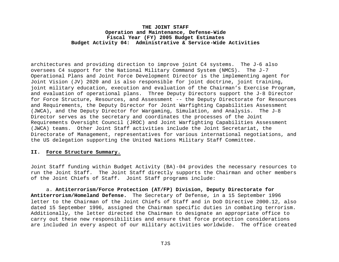architectures and providing direction to improve joint C4 systems. The J-6 also oversees C4 support for the National Military Command System (NMCS). The J-7 Operational Plans and Joint Force Development Director is the implementing agent for Joint Vision (JV) 2020 and is also responsible for joint doctrine, joint training, joint military education, execution and evaluation of the Chairman's Exercise Program, and evaluation of operational plans. Three Deputy Directors support the J-8 Director for Force Structure, Resources, and Assessment -- the Deputy Directorate for Resources and Requirements, the Deputy Director for Joint Warfighting Capabilities Assessment (JWCA), and the Deputy Director for Wargaming, Simulation, and Analysis. The J-8 Director serves as the secretary and coordinates the processes of the Joint Requirements Oversight Council (JROC) and Joint Warfighting Capabilities Assessment (JWCA) teams. Other Joint Staff activities include the Joint Secretariat, the Directorate of Management, representatives for various international negotiations, and the US delegation supporting the United Nations Military Staff Committee.

#### **II. Force Structure Summary.**

Joint Staff funding within Budget Activity (BA)-04 provides the necessary resources to run the Joint Staff. The Joint Staff directly supports the Chairman and other members of the Joint Chiefs of Staff. Joint Staff programs include:

a. **Antiterrorism/Force Protection (AT/FP) Division, Deputy Directorate for Antiterrorism/Homeland Defense.** The Secretary of Defense, in a 15 September 1996 letter to the Chairman of the Joint Chiefs of Staff and in DoD Directive 2000.12, also dated 15 September 1996, assigned the Chairman specific duties in combating terrorism. Additionally, the letter directed the Chairman to designate an appropriate office to carry out these new responsibilities and ensure that force protection considerations are included in every aspect of our military activities worldwide. The office created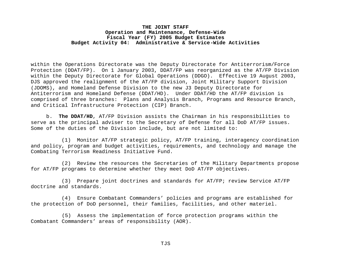within the Operations Directorate was the Deputy Directorate for Antiterrorism/Force Protection (DDAT/FP). On 1 January 2003, DDAT/FP was reorganized as the AT/FP Division within the Deputy Directorate for Global Operations (DDGO). Effective 19 August 2003, DJS approved the realignment of the AT/FP division, Joint Military Support Division (JDOMS), and Homeland Defense Division to the new J3 Deputy Directorate for Antiterrorism and Homeland Defense (DDAT/HD). Under DDAT/HD the AT/FP division is comprised of three branches: Plans and Analysis Branch, Programs and Resource Branch, and Critical Infrastructure Protection (CIP) Branch.

b. **The DDAT/HD**, AT/FP Division assists the Chairman in his responsibilities to serve as the principal adviser to the Secretary of Defense for all DoD AT/FP issues. Some of the duties of the Division include, but are not limited to:

(1) Monitor AT/FP strategic policy, AT/FP training, interagency coordination and policy, program and budget activities, requirements, and technology and manage the Combating Terrorism Readiness Initiative Fund.

(2) Review the resources the Secretaries of the Military Departments propose for AT/FP programs to determine whether they meet DoD AT/FP objectives.

(3) Prepare joint doctrines and standards for AT/FP; review Service AT/FP doctrine and standards.

 (4) Ensure Combatant Commanders' policies and programs are established for the protection of DoD personnel, their families, facilities, and other materiel.

 (5) Assess the implementation of force protection programs within the Combatant Commanders' areas of responsibility (AOR).

TJS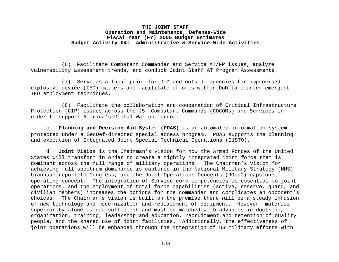(6) Facilitate Combatant Commander and Service AT/FP issues, analyze vulnerability assessment trends, and conduct Joint Staff AT Program Assessments.

(7) Serve as a focal point for DoD and outside agencies for improvised explosive device (IED) matters and facilitate efforts within DoD to counter emergent IED employment techniques.

(8) Facilitate the collaboration and cooperation of Critical Infrastructure Protection (CIP) issues across the JS, Combatant Commands (COCOMs) and Services in order to support America's Global War on Terror.

c**. Planning and Decision Aid System (PDAS)** is an automated information system protected under a SecDef-directed special access program. PDAS supports the planning and execution of Integrated Joint Special Technical Operations (IJSTO).

d. **Joint Vision** is the Chairman's vision for how the Armed Forces of the United States will transform in order to create a tightly integrated joint force that is dominant across the full range of military operations. The Chairman's vision for achieving full spectrum dominance is captured in the National Military Strategy (NMS) biannual report to Congress, and the Joint Operations Concepts (JOpsC) capstone operating concept. The integration of Service core competencies is essential to joint operations, and the employment of total force capabilities (active, reserve, guard, and civilian members) increases the options for the commander and complicates an opponent's choices. The Chairman's vision is built on the premise there will be a steady infusion of new technology and modernization and replacement of equipment. However, materiel superiority alone is not sufficient and must be matched with advances in doctrine, organization, training, leadership and education, recruitment and retention of quality people, and the shared use of joint facilities. Additionally, the effectiveness of joint operations will be enhanced through the integration of US military efforts with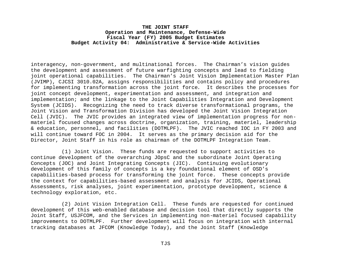interagency, non-government, and multinational forces. The Chairman's vision guides the development and assessment of future warfighting concepts and lead to fielding joint operational capabilities. The Chairman's Joint Vision Implementation Master Plan (JVIMP), CJCSI 3010.02A, assigns responsibilities and contains policy and procedures for implementing transformation across the joint force*.* It describes the processes for joint concept development, experimentation and assessment, and integration and implementation; and the linkage to the Joint Capabilities Integration and Development System (JCIDS). Recognizing the need to track diverse transformational programs, the Joint Vision and Transformation Division has developed the Joint Vision Integration Cell (JVIC). The JVIC provides an integrated view of implementation progress for nonmateriel focused changes across doctrine, organization, training, materiel, leadership & education, personnel, and facilities (DOTMLPF). The JVIC reached IOC in FY 2003 and will continue toward FOC in 2004. It serves as the primary decision aid for the Director, Joint Staff in his role as chairman of the DOTMLPF Integration Team.

(1) Joint Vision. These funds are requested to support activities to continue development of the overarching JOpsC and the subordinate Joint Operating Concepts (JOC) and Joint Integrating Concepts (JIC). Continuing evolutionary development of this family of concepts is a key foundational element of OSD's capabilities-based process for transforming the joint force. These concepts provide the context for capabilities-based assessment and analysis for JCIDS, Operational Assessments, risk analyses, joint experimentation, prototype development, science & technology exploration, etc.

(2) Joint Vision Integration Cell. These funds are requested for continued development of this web-enabled database and decision tool that directly supports the Joint Staff, USJFCOM, and the Services in implementing non-materiel focused capability improvements to DOTMLPF. Further development will focus on integration with internal tracking databases at JFCOM (Knowledge Today), and the Joint Staff (Knowledge

TJS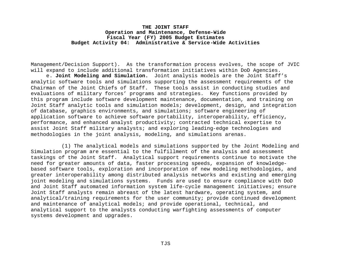Management/Decision Support). As the transformation process evolves, the scope of JVIC will expand to include additional transformation initiatives within DoD Agencies.

e. **Joint Modeling and Simulation.** Joint analysis models are the Joint Staff's analytic software tools and simulations supporting the assessment requirements of the Chairman of the Joint Chiefs of Staff. These tools assist in conducting studies and evaluations of military forces' programs and strategies. Key functions provided by this program include software development maintenance, documentation, and training on Joint Staff analytic tools and simulation models; development, design, and integration of database, graphics environments, and simulations; software engineering of application software to achieve software portability, interoperability, efficiency, performance, and enhanced analyst productivity; contracted technical expertise to assist Joint Staff military analysts; and exploring leading-edge technologies and methodologies in the joint analysis, modeling, and simulations arenas.

(1) The analytical models and simulations supported by the Joint Modeling and Simulation program are essential to the fulfillment of the analysis and assessment taskings of the Joint Staff. Analytical support requirements continue to motivate the need for greater amounts of data, faster processing speeds, expansion of knowledgebased software tools, exploration and incorporation of new modeling methodologies, and greater interoperability among distributed analysis networks and existing and emerging joint modeling and simulations systems. Funds are used to ensure compliance with DoD and Joint Staff automated information system life-cycle management initiatives; ensure Joint Staff analysts remain abreast of the latest hardware, operating system, and analytical/training requirements for the user community; provide continued development and maintenance of analytical models; and provide operational, technical, and analytical support to the analysts conducting warfighting assessments of computer systems development and upgrades.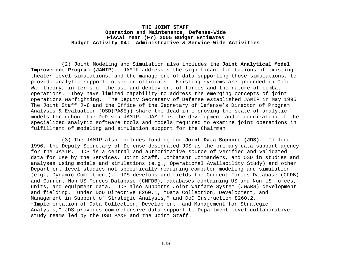(2) Joint Modeling and Simulation also includes the **Joint Analytical Model Improvement Program (JAMIP**). JAMIP addresses the significant limitations of existing theater-level simulations, and the management of data supporting those simulations, to provide analytic support to senior officials. Existing systems are grounded in Cold War theory, in terms of the use and deployment of forces and the nature of combat operations. They have limited capability to address the emerging concepts of joint operations warfighting. The Deputy Secretary of Defense established JAMIP in May 1995. The Joint Staff J-8 and the Office of the Secretary of Defense's Director of Program Analysis & Evaluation (OSD(PA&E)) share the lead in improving the state of analytic models throughout the DoD via JAMIP. JAMIP is the development and modernization of the specialized analytic software tools and models required to examine joint operations in fulfillment of modeling and simulation support for the Chairman.

(3) The JAMIP also includes funding for **Joint Data Support (JDS)**. In June 1996, the Deputy Secretary of Defense designated JDS as the primary data support agency for the JAMIP. JDS is a central and authoritative source of verified and validated data for use by the Services, Joint Staff, Combatant Commanders, and OSD in studies and analyses using models and simulations (e.g., Operational Availability Study) and other Department-level studies not specifically requiring computer modeling and simulation (e.g., Dynamic Commitment). JDS develops and fields the Current Forces Database (CFDB) and Current Non-US Forces Database (CNFDB), databases containing US and Non-US forces, units, and equipment data. JDS also supports Joint Warfare System (JWARS) development and fielding. Under DoD Directive 8260.1, "Data Collection, Development, and Management in Support of Strategic Analysis," and DoD Instruction 8260.2, "Implementation of Data Collection, Development, and Management for Strategic Analysis," JDS provides comprehensive data support to Department-level collaborative study teams led by the OSD PA&E and the Joint Staff.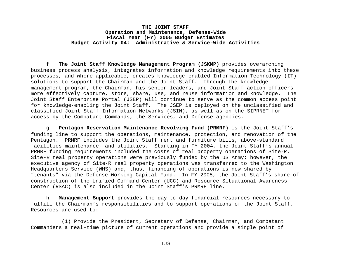f. **The Joint Staff Knowledge Management Program (JSKMP)** provides overarching business process analysis, integrates information and knowledge requirements into these processes, and where applicable, creates knowledge-enabled Information Technology (IT) solutions to support the Chairman and the Joint Staff. Through the knowledge management program, the Chairman, his senior leaders, and Joint Staff action officers more effectively capture, store, share, use, and reuse information and knowledge. The Joint Staff Enterprise Portal (JSEP) will continue to serve as the common access point for knowledge-enabling the Joint Staff. The JSEP is deployed on the unclassified and classified Joint Staff Information Networks (JSIN), as well as on the SIPRNET for access by the Combatant Commands, the Services, and Defense agencies.

g. **Pentagon Reservation Maintenance Revolving Fund (PRMRF)** is the Joint Staff's funding line to support the operations, maintenance, protection, and renovation of the Pentagon. PRMRF includes the Joint Staff rent and furniture bills, above-standard facilities maintenance, and utilities. Starting in FY 2004, the Joint Staff's annual PRMRF funding requirements included the costs of real property operations of Site-R. Site-R real property operations were previously funded by the US Army; however, the executive agency of Site-R real property operations was transferred to the Washington Headquarters Service (WHS) and, thus, financing of operations is now shared by "tenants" via the Defense Working Capital Fund. In FY 2005, the Joint Staff's share of construction of the Unified Command Center (UCC) and Resource Situational Awareness Center (RSAC) is also included in the Joint Staff's PRMRF line.

h. **Management Support** provides the day-to-day financial resources necessary to fulfill the Chairman's responsibilities and to support operations of the Joint Staff. Resources are used to:

(1) Provide the President, Secretary of Defense, Chairman, and Combatant Commanders a real-time picture of current operations and provide a single point of

TJS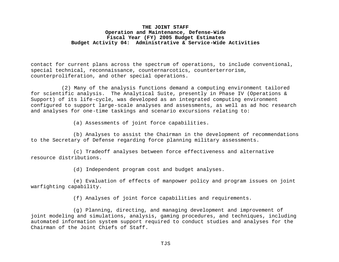contact for current plans across the spectrum of operations, to include conventional, special technical, reconnaissance, counternarcotics, counterterrorism, counterproliferation, and other special operations.

(2) Many of the analysis functions demand a computing environment tailored for scientific analysis. The Analytical Suite, presently in Phase IV (Operations & Support) of its life-cycle, was developed as an integrated computing environment configured to support large-scale analyses and assessments, as well as ad hoc research and analyses for one-time taskings and scenario excursions relating to:

(a) Assessments of joint force capabilities.

(b) Analyses to assist the Chairman in the development of recommendations to the Secretary of Defense regarding force planning military assessments.

(c) Tradeoff analyses between force effectiveness and alternative resource distributions.

(d) Independent program cost and budget analyses.

(e) Evaluation of effects of manpower policy and program issues on joint warfighting capability.

(f) Analyses of joint force capabilities and requirements.

(g) Planning, directing, and managing development and improvement of joint modeling and simulations, analysis, gaming procedures, and techniques, including automated information system support required to conduct studies and analyses for the Chairman of the Joint Chiefs of Staff.

TJS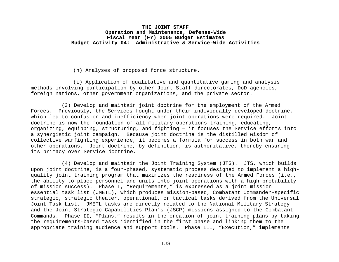(h) Analyses of proposed force structure.

(i) Application of qualitative and quantitative gaming and analysis methods involving participation by other Joint Staff directorates, DoD agencies, foreign nations, other government organizations, and the private sector.

(3) Develop and maintain joint doctrine for the employment of the Armed Forces. Previously, the Services fought under their individually-developed doctrine, which led to confusion and inefficiency when joint operations were required. Joint doctrine is now the foundation of all military operations training, educating, organizing, equipping, structuring, and fighting – it focuses the Service efforts into a synergistic joint campaign. Because joint doctrine is the distilled wisdom of collective warfighting experience, it becomes a formula for success in both war and other operations. Joint doctrine, by definition, is authoritative, thereby ensuring its primacy over Service doctrine.

(4) Develop and maintain the Joint Training System (JTS). JTS, which builds upon joint doctrine, is a four-phased, systematic process designed to implement a highquality joint training program that maximizes the readiness of the Armed Forces (i.e., the ability to place personnel and units into joint operations with a high probability of mission success). Phase I, "Requirements," is expressed as a joint mission essential task list (JMETL), which produces mission-based, Combatant Commander-specific strategic, strategic theater, operational, or tactical tasks derived from the Universal Joint Task List. JMETL tasks are directly related to the National Military Strategy and the Joint Strategic Capabilities Plan's (JSCP) missions assigned to the Combatant Commands. Phase II, "Plans," results in the creation of joint training plans by taking the requirements-based tasks identified in the first phase and linking them to the appropriate training audience and support tools. Phase III, "Execution," implements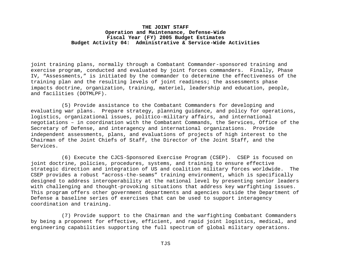joint training plans, normally through a Combatant Commander-sponsored training and exercise program, conducted and evaluated by joint forces commanders. Finally, Phase IV, "Assessments," is initiated by the commander to determine the effectiveness of the training plan and the resulting levels of joint readiness; the assessments phase impacts doctrine, organization, training, materiel, leadership and education, people, and facilities (DOTMLPF).

(5) Provide assistance to the Combatant Commanders for developing and evaluating war plans. Prepare strategy, planning guidance, and policy for operations, logistics, organizational issues, politico-military affairs, and international negotiations – in coordination with the Combatant Commands, the Services, Office of the Secretary of Defense, and interagency and international organizations. Provide independent assessments, plans, and evaluations of projects of high interest to the Chairman of the Joint Chiefs of Staff, the Director of the Joint Staff, and the Services.

(6) Execute the CJCS-Sponsored Exercise Program (CSEP). CSEP is focused on joint doctrine, policies, procedures, systems, and training to ensure effective strategic direction and integration of US and coalition military forces worldwide. The CSEP provides a robust "across-the-seams" training environment, which is specifically designed to address interoperability at the national level by presenting senior leaders with challenging and thought-provoking situations that address key warfighting issues. This program offers other government departments and agencies outside the Department of Defense a baseline series of exercises that can be used to support interagency coordination and training.

(7) Provide support to the Chairman and the warfighting Combatant Commanders by being a proponent for effective, efficient, and rapid joint logistics, medical, and engineering capabilities supporting the full spectrum of global military operations.

TJS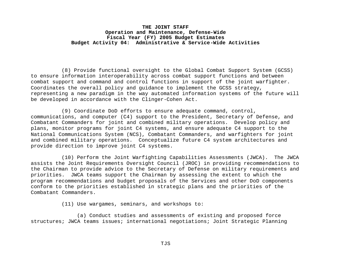(8) Provide functional oversight to the Global Combat Support System (GCSS) to ensure information interoperability across combat support functions and between combat support and command and control functions in support of the joint warfighter. Coordinates the overall policy and guidance to implement the GCSS strategy, representing a new paradigm in the way automated information systems of the future will be developed in accordance with the Clinger-Cohen Act.

(9) Coordinate DoD efforts to ensure adequate command, control, communications, and computer (C4) support to the President, Secretary of Defense, and Combatant Commanders for joint and combined military operations. Develop policy and plans, monitor programs for joint C4 systems, and ensure adequate C4 support to the National Communications System (NCS), Combatant Commanders, and warfighters for joint and combined military operations. Conceptualize future C4 system architectures and provide direction to improve joint C4 systems.

(10) Perform the Joint Warfighting Capabilities Assessments (JWCA). The JWCA assists the Joint Requirements Oversight Council (JROC) in providing recommendations to the Chairman to provide advice to the Secretary of Defense on military requirements and priorities. JWCA teams support the Chairman by assessing the extent to which the program recommendations and budget proposals of the Services and other DoD components conform to the priorities established in strategic plans and the priorities of the Combatant Commanders.

(11) Use wargames, seminars, and workshops to:

(a) Conduct studies and assessments of existing and proposed force structures; JWCA teams issues; international negotiations; Joint Strategic Planning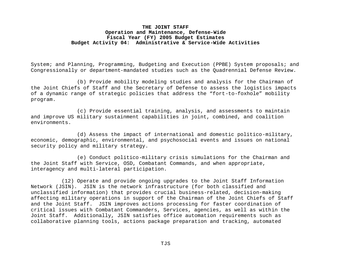System; and Planning, Programming, Budgeting and Execution (PPBE) System proposals; and Congressionally or department-mandated studies such as the Quadrennial Defense Review.

(b) Provide mobility modeling studies and analysis for the Chairman of the Joint Chiefs of Staff and the Secretary of Defense to assess the logistics impacts of a dynamic range of strategic policies that address the "fort-to-foxhole" mobility program.

(c) Provide essential training, analysis, and assessments to maintain and improve US military sustainment capabilities in joint, combined, and coalition environments.

(d) Assess the impact of international and domestic politico-military, economic, demographic, environmental, and psychosocial events and issues on national security policy and military strategy.

(e) Conduct politico-military crisis simulations for the Chairman and the Joint Staff with Service, OSD, Combatant Commands, and when appropriate, interagency and multi-lateral participation.

(12) Operate and provide ongoing upgrades to the Joint Staff Information Network (JSIN). JSIN is the network infrastructure (for both classified and unclassified information) that provides crucial business-related, decision-making affecting military operations in support of the Chairman of the Joint Chiefs of Staff and the Joint Staff. JSIN improves actions processing for faster coordination of critical issues with Combatant Commanders, Services, agencies, as well as within the Joint Staff. Additionally, JSIN satisfies office automation requirements such as collaborative planning tools, actions package preparation and tracking, automated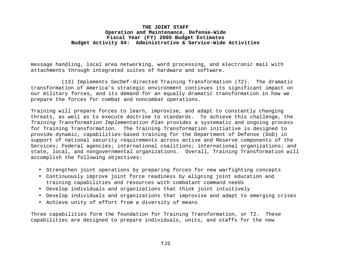message handling, local area networking, word processing, and electronic mail with attachments through integrated suites of hardware and software.

(13) Implements SecDef-directed Training Transformation (T2). The dramatic transformation of America's strategic environment continues its significant impact on our military forces, and its demand for an equally dramatic transformation in how we prepare the forces for combat and noncombat operations.

Training will prepare forces to learn, improvise, and adapt to constantly changing threats, as well as to execute doctrine to standards. To achieve this challenge, the *Training Transformation Implementation Plan* provides a systematic and ongoing process for Training Transformation. The Training Transformation initiative is designed to provide dynamic, capabilities-based training for the Department of Defense (DoD) in support of national security requirements across active and Reserve components of the Services; Federal agencies; international coalitions; international organizations; and state, local, and nongovernmental organizations. Overall, Training Transformation will accomplish the following objectives:

- Strengthen joint operations by preparing forces for new warfighting concepts
- Continuously improve joint force readiness by aligning joint education and training capabilities and resources with combatant command needs
- Develop individuals and organizations that think joint intuitively
- Develop individuals and organizations that improvise and adapt to emerging crises
- Achieve unity of effort from a diversity of means

Three capabilities form the foundation for Training Transformation, or T2. These capabilities are designed to prepare individuals, units, and staffs for the new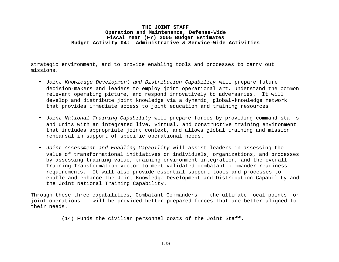strategic environment, and to provide enabling tools and processes to carry out missions.

- *Joint Knowledge Development and Distribution Capability* will prepare future decision-makers and leaders to employ joint operational art, understand the common relevant operating picture, and respond innovatively to adversaries. It will develop and distribute joint knowledge via a dynamic, global-knowledge network that provides immediate access to joint education and training resources.
- *Joint National Training Capability* will prepare forces by providing command staffs and units with an integrated live, virtual, and constructive training environment that includes appropriate joint context, and allows global training and mission rehearsal in support of specific operational needs.
- *Joint Assessment and Enabling Capability* will assist leaders in assessing the value of transformational initiatives on individuals, organizations, and processes by assessing training value, training environment integration, and the overall Training Transformation vector to meet validated combatant commander readiness requirements. It will also provide essential support tools and processes to enable and enhance the Joint Knowledge Development and Distribution Capability and the Joint National Training Capability.

Through these three capabilities, Combatant Commanders -- the ultimate focal points for joint operations -- will be provided better prepared forces that are better aligned to their needs.

(14) Funds the civilian personnel costs of the Joint Staff.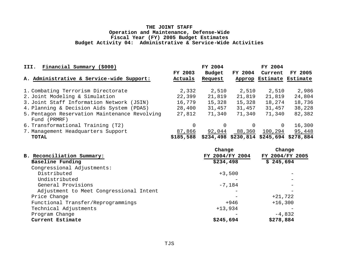| Financial Summary (\$000)<br>III.                             |                    | FY 2004           |                   | FY 2004                                 |         |
|---------------------------------------------------------------|--------------------|-------------------|-------------------|-----------------------------------------|---------|
| A. Administrative & Service-wide Support:                     | FY 2003<br>Actuals | Budget<br>Request | FY 2004<br>Approp | Current<br>Estimate Estimate            | FY 2005 |
| 1. Combating Terrorism Directorate                            | 2,332              | 2,510             | 2,510             | 2,510                                   | 2,986   |
| 2. Joint Modeling & Simulation                                | 22,399             | 21,819            | 21,819            | 21,819                                  | 24,804  |
| 3. Joint Staff Information Network (JSIN)                     | 16,779             | 15,328            | 15,328            | 18,274                                  | 18,736  |
| 4. Planning & Decision Aids System (PDAS)                     | 28,400             | 31,457            | 31,457            | 31,457                                  | 38,228  |
| 5. Pentagon Reservation Maintenance Revolving<br>Fund (PRMRF) | 27,812             | 71,340            | 71,340            | 71,340                                  | 82,382  |
| 6. Transformational Training (T2)                             | 0                  | 0                 |                   | $\Omega$                                | 16,300  |
| 7. Management Headquarters Support                            | 87,866             | 92,044            | 88,360            | 100,294                                 | 95,448  |
| <b>TOTAL</b>                                                  | \$185,588          |                   |                   | \$234,498 \$230,814 \$245,694 \$278,884 |         |

|                                         | Change          | Change          |
|-----------------------------------------|-----------------|-----------------|
| B. Reconciliation Summary:              | FY 2004/FY 2004 | FY 2004/FY 2005 |
| Baseline Funding                        | \$234,498       | \$245,694       |
| Congressional Adjustments:              |                 |                 |
| Distributed                             | $+3,500$        |                 |
| Undistributed                           |                 |                 |
| General Provisions                      | $-7,184$        |                 |
| Adjustment to Meet Congressional Intent |                 |                 |
| Price Change                            |                 | $+21,722$       |
| Functional Transfer/Reprogrammings      | +946            | $+16,300$       |
| Technical Adjustments                   | $+13,934$       |                 |
| Program Change                          |                 | $-4,832$        |
| Current Estimate                        | \$245,694       | \$278,884       |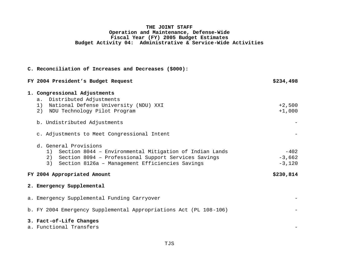| C. Reconciliation of Increases and Decreases (\$000):                                                                                                                                                   |                                |
|---------------------------------------------------------------------------------------------------------------------------------------------------------------------------------------------------------|--------------------------------|
| FY 2004 President's Budget Request                                                                                                                                                                      | \$234,498                      |
| 1. Congressional Adjustments<br>a. Distributed Adjustments<br>National Defense University (NDU) XXI<br>1)<br>NDU Technology Pilot Program<br>2)                                                         | $+2,500$<br>$+1,000$           |
| b. Undistributed Adjustments<br>c. Adjustments to Meet Congressional Intent                                                                                                                             |                                |
| d. General Provisions<br>1) Section 8044 - Environmental Mitigation of Indian Lands<br>2) Section 8094 - Professional Support Services Savings<br>3)<br>Section 8126a - Management Efficiencies Savings | $-402$<br>$-3,662$<br>$-3,120$ |
| FY 2004 Appropriated Amount                                                                                                                                                                             | \$230,814                      |
| 2. Emergency Supplemental                                                                                                                                                                               |                                |
| a. Emergency Supplemental Funding Carryover                                                                                                                                                             |                                |
| b. FY 2004 Emergency Supplemental Appropriations Act (PL 108-106)                                                                                                                                       |                                |
| 3. Fact-of-Life Changes<br>a. Functional Transfers                                                                                                                                                      |                                |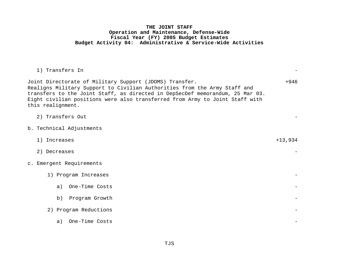| 1) Transfers In                                                                                                                                                                                                                                                                                                            |           |
|----------------------------------------------------------------------------------------------------------------------------------------------------------------------------------------------------------------------------------------------------------------------------------------------------------------------------|-----------|
| Joint Directorate of Military Support (JDOMS) Transfer.<br>Realigns Military Support to Civilian Authorities from the Army Staff and<br>transfers to the Joint Staff, as directed in DepSecDef memorandum, 25 Mar 03.<br>Eight civilian positions were also transferred from Army to Joint Staff with<br>this realignment. | $+946$    |
| 2) Transfers Out                                                                                                                                                                                                                                                                                                           |           |
| b. Technical Adjustments                                                                                                                                                                                                                                                                                                   |           |
| 1) Increases                                                                                                                                                                                                                                                                                                               | $+13,934$ |
| 2) Decreases                                                                                                                                                                                                                                                                                                               |           |
| c. Emergent Requirements                                                                                                                                                                                                                                                                                                   |           |
| 1) Program Increases                                                                                                                                                                                                                                                                                                       |           |
| a) One-Time Costs                                                                                                                                                                                                                                                                                                          |           |
| Program Growth<br>b)                                                                                                                                                                                                                                                                                                       |           |
| 2) Program Reductions                                                                                                                                                                                                                                                                                                      |           |
| One-Time Costs<br>a)                                                                                                                                                                                                                                                                                                       |           |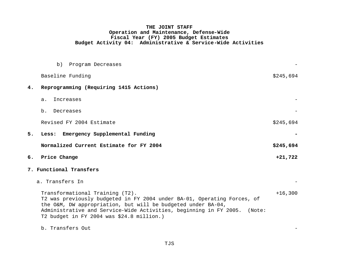|    | b) Program Decreases                                                                                                                                                                                                                                                                                |           |
|----|-----------------------------------------------------------------------------------------------------------------------------------------------------------------------------------------------------------------------------------------------------------------------------------------------------|-----------|
|    | Baseline Funding                                                                                                                                                                                                                                                                                    | \$245,694 |
| 4. | Reprogramming (Requiring 1415 Actions)                                                                                                                                                                                                                                                              |           |
|    | Increases<br>a.                                                                                                                                                                                                                                                                                     |           |
|    | b. Decreases                                                                                                                                                                                                                                                                                        |           |
|    | Revised FY 2004 Estimate                                                                                                                                                                                                                                                                            | \$245,694 |
| 5. | Less: Emergency Supplemental Funding                                                                                                                                                                                                                                                                |           |
|    | Normalized Current Estimate for FY 2004                                                                                                                                                                                                                                                             | \$245,694 |
| б. | Price Change                                                                                                                                                                                                                                                                                        | $+21,722$ |
|    | 7. Functional Transfers                                                                                                                                                                                                                                                                             |           |
|    | a. Transfers In                                                                                                                                                                                                                                                                                     |           |
|    | Transformational Training (T2).<br>T2 was previously budgeted in FY 2004 under BA-01, Operating Forces, of<br>the O&M, DW appropriation, but will be budgeted under BA-04,<br>Administrative and Service-Wide Activities, beginning in FY 2005. (Note:<br>T2 budget in FY 2004 was \$24.8 million.) | $+16,300$ |
|    | b. Transfers Out                                                                                                                                                                                                                                                                                    |           |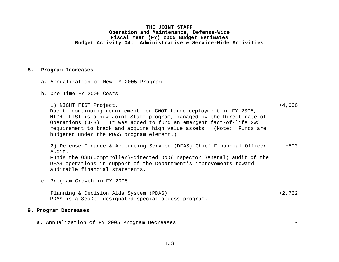#### **8. Program Increases**

- a. Annualization of New FY 2005 Program
- b. One-Time FY 2005 Costs

 1) NIGHT FIST Project. +4,000 Due to continuing requirement for GWOT force deployment in FY 2005, NIGHT FIST is a new Joint Staff program, managed by the Directorate of Operations (J-3). It was added to fund an emergent fact-of-life GWOT requirement to track and acquire high value assets. (Note: Funds are budgeted under the PDAS program element.)

 2) Defense Finance & Accounting Service (DFAS) Chief Financial Officer Audit. +500 Funds the OSD(Comptroller)-directed DoD(Inspector General) audit of the DFAS operations in support of the Department's improvements toward auditable financial statements.

c. Program Growth in FY 2005

Planning & Decision Aids System (PDAS).  $+2,732$ PDAS is a SecDef-designated special access program.

## **9. Program Decreases**

a. Annualization of FY 2005 Program Decreases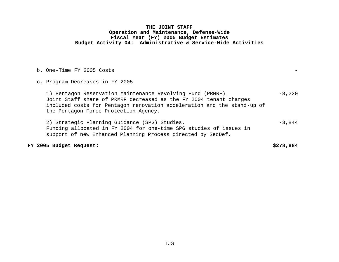b. One-Time FY 2005 Costs

c. Program Decreases in FY 2005

1) Pentagon Reservation Maintenance Revolving Fund (PRMRF). -8,220 Joint Staff share of PRMRF decreased as the FY 2004 tenant charges included costs for Pentagon renovation acceleration and the stand-up of the Pentagon Force Protection Agency.

2) Strategic Planning Guidance (SPG) Studies. -3,844 Funding allocated in FY 2004 for one-time SPG studies of issues in support of new Enhanced Planning Process directed by SecDef.

**FY 2005 Budget Request: \$278,884**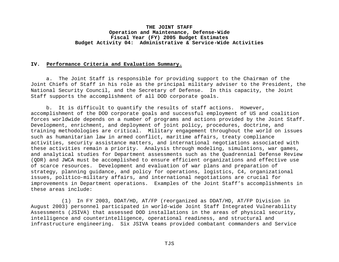#### **IV. Performance Criteria and Evaluation Summary.**

a. The Joint Staff is responsible for providing support to the Chairman of the Joint Chiefs of Staff in his role as the principal military adviser to the President, the National Security Council, and the Secretary of Defense. In this capacity, the Joint Staff supports the accomplishment of all DOD corporate goals.

b. It is difficult to quantify the results of staff actions. However, accomplishment of the DOD corporate goals and successful employment of US and coalition forces worldwide depends on a number of programs and actions provided by the Joint Staff. Development, enrichment, and deployment of joint policy, procedures, doctrine, and training methodologies are critical. Military engagement throughout the world on issues such as humanitarian law in armed conflict, maritime affairs, treaty compliance activities, security assistance matters, and international negotiations associated with these activities remain a priority. Analysis through modeling, simulations, war games, and analytical studies for Department assessments such as the Quadrennial Defense Review (QDR) and JWCA must be accomplished to ensure efficient organizations and effective use of scarce resources. Development and evaluation of war plans and preparation of strategy, planning guidance, and policy for operations, logistics, C4, organizational issues, politico-military affairs, and international negotiations are crucial for improvements in Department operations. Examples of the Joint Staff's accomplishments in these areas include:

(1) In FY 2003, DDAT/HD, AT/FP (reorganized as DDAT/HD, AT/FP Division in August 2003) personnel participated in world-wide Joint Staff Integrated Vulnerability Assessments (JSIVA) that assessed DOD installations in the areas of physical security, intelligence and counterintelligence, operational readiness, and structural and infrastructure engineering. Six JSIVA teams provided combatant commanders and Service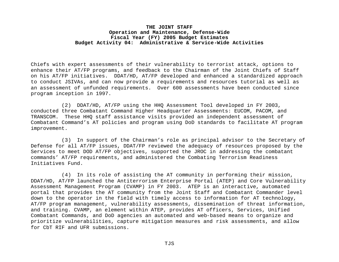Chiefs with expert assessments of their vulnerability to terrorist attack, options to enhance their AT/FP programs, and feedback to the Chairman of the Joint Chiefs of Staff on his AT/FP initiatives. DDAT/HD, AT/FP developed and enhanced a standardized approach to conduct JSIVAs, and can now provide a requirements and resources tutorial as well as an assessment of unfunded requirements. Over 600 assessments have been conducted since program inception in 1997.

(2) DDAT/HD, AT/FP using the HHQ Assessment Tool developed in FY 2003, conducted three Combatant Command Higher Headquarter Assessments: EUCOM, PACOM, and TRANSCOM. These HHQ staff assistance visits provided an independent assessment of Combatant Command's AT policies and program using DoD standards to facilitate AT program improvement.

(3) In support of the Chairman's role as principal advisor to the Secretary of Defense for all AT/FP issues, DDAT/FP reviewed the adequacy of resources proposed by the Services to meet DOD AT/FP objectives, supported the JROC in addressing the combatant commands' AT/FP requirements, and administered the Combating Terrorism Readiness Initiatives Fund.

(4) In its role of assisting the AT community in performing their mission, DDAT/HD, AT/FP launched the Antiterrorism Enterprise Portal (ATEP) and Core Vulnerability Assessment Management Program (CVAMP) in FY 2003. ATEP is an interactive, automated portal that provides the AT community from the Joint Staff and Combatant Commander level down to the operator in the field with timely access to information for AT technology, AT/FP program management, vulnerability assessments, dissemination of threat information, and training. CVAMP, an element within ATEP, provides AT officers, Services, Unified Combatant Commands, and DoD agencies an automated and web-based means to organize and prioritize vulnerabilities, capture mitigation measures and risk assessments, and allow for CbT RIF and UFR submissions.

TJS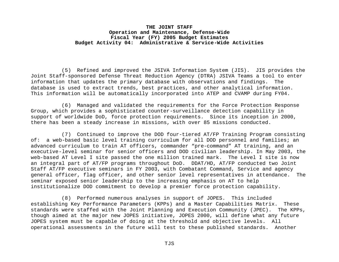(5) Refined and improved the JSIVA Information System (JIS). JIS provides the Joint Staff-sponsored Defense Threat Reduction Agency (DTRA) JSIVA Teams a tool to enter information that updates the primary database with observations and findings. The database is used to extract trends, best practices, and other analytical information. This information will be automatically incorporated into ATEP and CVAMP during FY04.

(6) Managed and validated the requirements for the Force Protection Response Group, which provides a sophisticated counter-surveillance detection capability in support of worldwide DoD, force protection requirements. Since its inception in 2000, there has been a steady increase in missions, with over 85 missions conducted.

(7) Continued to improve the DOD four-tiered AT/FP Training Program consisting of: a web-based basic level training curriculum for all DOD personnel and families; an advanced curriculum to train AT officers, commander "pre-command" AT training, and an executive-level seminar for senior officers and DOD civilian leadership. In May 2003, the web-based AT Level I site passed the one million trained mark. The Level I site is now an integral part of AT/FP programs throughout DoD. DDAT/HD, AT/FP conducted two Joint Staff AT/FP executive seminars in FY 2003, with Combatant Command, Service and agency general officer, flag officer, and other senior level representatives in attendance. The seminar exposed senior leadership to the increasing emphasis on AT to help institutionalize DOD commitment to develop a premier force protection capability.

(8) Performed numerous analyses in support of JOPES. This included establishing Key Performance Parameters (KPPs) and a Master Capabilities Matrix. These standards were staffed with the Joint Planning and Execution Community (JPEC). The KPPs, though aimed at the major new JOPES initiative, JOPES 2000, will define what any future JOPES system must be capable of doing at the threshold and objective levels. All operational assessments in the future will test to these published standards. Another

TJS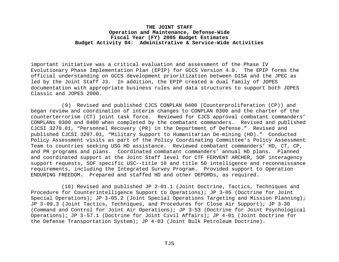important initiative was a critical evaluation and assessment of the Phase IV Evolutionary Phase Implementation Plan (EPIP) for GCCS Version 4.0. The EPIP forms the official understanding on GCCS development prioritization between DISA and the JPEC as led by the Joint Staff J3. In addition, the EPIP created a dual family of JOPES documentation with appropriate business rules and data structures to support both JOPES Classic and JOPES 2000.

(9) Revised and published CJCS CONPLAN 0400 (Counterproliferation (CP)) and began review and coordination of interim changes to CONPLAN 0300 and the charter of the counterterrorism (CT) joint task force. Reviewed for CJCS approval combatant commanders' CONPLANs 0300 and 0400 when completed by the combatant commanders. Revised and published CJCSI 3270.01, "Personnel Recovery (PR) in the Department of Defense." Revised and published CJCSI 3207.01, "Military Support to Humanitarian De-mining (HD)." Conducted Policy Assessment visits as part of the Policy Coordinating Committee's Policy Assessment Team to countries seeking USG HD assistance. Reviewed combatant commanders' HD, CT, CP, and PR programs and plans. Coordinated combatant commanders' annual HD plans. Planned and coordinated support at the Joint Staff level for CTF FERVENT ARCHER, SOF interagency support requests, SOF specific USC--title 10 and title 50 intelligence and reconnaissance requirements, including the Integrated Survey Program. Provided support to Operation ENDURING FREEDOM. Prepared and staffed HD and other DEPORDs, as required.

(10) Revised and published JP 2-01.1 (Joint Doctrine, Tactics, Techniques and Procedure for Counterintelligence Support to Operations); JP 3-05 (Doctrine for Joint Special Operations); JP 3-05.2 (Joint Special Operations Targeting and Mission Planning); JP 3-09.3 (Joint Tactics, Techniques, and Procedures for Close Air Support); JP 3-30 (Command and Control for Joint Air Operations); JP 3-53 (Doctrine for Joint Psychological Operations); JP 3-57.1 (Doctrine for Joint Civil Affairs); JP 4-01 (Joint Doctrine for the Defense Transportation System); JP 4-03 (Joint Bulk Petroleum Doctrine).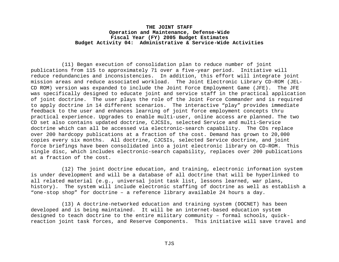(11) Began execution of consolidation plan to reduce number of joint publications from 115 to approximately 71 over a five-year period. Initiative will reduce redundancies and inconsistencies. In addition, this effort will integrate joint mission areas and reduce associated workload. The Joint Electronic Library CD-ROM (JEL-CD ROM) version was expanded to include the Joint Force Employment Game (JFE). The JFE was specifically designed to educate joint and service staff in the practical application of joint doctrine. The user plays the role of the Joint Force Commander and is required to apply doctrine in 14 different scenarios. The interactive "play" provides immediate feedback to the user and enhances learning of joint force employment concepts thru practical experience. Upgrades to enable multi-user, online access are planned. The two CD set also contains updated doctrine, CJCSIs, selected Service and multi-Service doctrine which can all be accessed via electronic-search capability. The CDs replace over 200 hardcopy publications at a fraction of the cost. Demand has grown to 20,000 copies every six months. All doctrine, CJCSIs, selected Service doctrine, and joint force briefings have been consolidated into a joint electronic library on CD-ROM. This single disc, which includes electronic-search capability, replaces over 200 publications at a fraction of the cost.

(12) The joint doctrine education, and training, electronic information system is under development and will be a database of all doctrine that will be hyperlinked to all related material (e.g., universal joint task list, lessons learned, war plans, history). The system will include electronic staffing of doctrine as well as establish a "one-stop shop" for doctrine – a reference library available 24 hours a day.

(13) A doctrine-networked education and training system (DOCNET) has been developed and is being maintained. It will be an internet-based education system designed to teach doctrine to the entire military community – formal schools, quickreaction joint task forces, and Reserve Components. This initiative will save travel and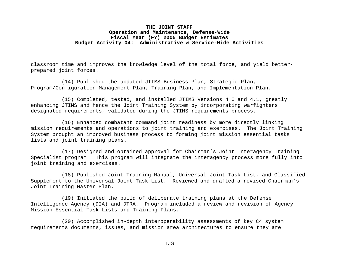classroom time and improves the knowledge level of the total force, and yield betterprepared joint forces.

(14) Published the updated JTIMS Business Plan, Strategic Plan, Program/Configuration Management Plan, Training Plan, and Implementation Plan.

(15) Completed, tested, and installed JTIMS Versions 4.0 and 4.1, greatly enhancing JTIMS and hence the Joint Training System by incorporating warfighters designated requirements, validated during the JTIMS requirements process.

(16) Enhanced combatant command joint readiness by more directly linking mission requirements and operations to joint training and exercises. The Joint Training System brought an improved business process to forming joint mission essential tasks lists and joint training plans.

(17) Designed and obtained approval for Chairman's Joint Interagency Training Specialist program. This program will integrate the interagency process more fully into joint training and exercises.

(18) Published Joint Training Manual, Universal Joint Task List, and Classified Supplement to the Universal Joint Task List. Reviewed and drafted a revised Chairman's Joint Training Master Plan.

(19) Initiated the build of deliberate training plans at the Defense Intelligence Agency (DIA) and DTRA. Program included a review and revision of Agency Mission Essential Task Lists and Training Plans.

(20) Accomplished in-depth interoperability assessments of key C4 system requirements documents, issues, and mission area architectures to ensure they are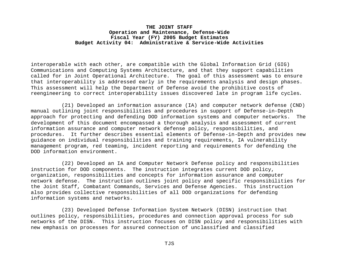interoperable with each other, are compatible with the Global Information Grid (GIG) Communications and Computing Systems Architecture, and that they support capabilities called for in Joint Operational Architecture. The goal of this assessment was to ensure that interoperability is addressed early in the requirements analysis and design phases. This assessment will help the Department of Defense avoid the prohibitive costs of reengineering to correct interoperability issues discovered late in program life cycles*.*

(21) Developed an information assurance (IA) and computer network defense (CND) manual outlining joint responsibilities and procedures in support of Defense-in-Depth approach for protecting and defending DOD information systems and computer networks. The development of this document encompassed a thorough analysis and assessment of current information assurance and computer network defense policy, responsibilities, and procedures. It further describes essential elements of Defense-in-Depth and provides new guidance on individual responsibilities and training requirements, IA vulnerability management program, red teaming, incident reporting and requirements for defending the DOD information environment.

(22) Developed an IA and Computer Network Defense policy and responsibilities instruction for DOD components. The instruction integrates current DOD policy, organization, responsibilities and concepts for information assurance and computer network defense. The instruction outlines joint policy and specific responsibilities for the Joint Staff, Combatant Commands, Services and Defense Agencies. This instruction also provides collective responsibilities of all DOD organizations for defending information systems and networks.

(23) Developed Defense Information System Network (DISN) instruction that outlines policy, responsibilities, procedures and connection approval process for sub networks of the DISN. This instruction focuses on DISN policy and responsibilities with new emphasis on processes for assured connection of unclassified and classified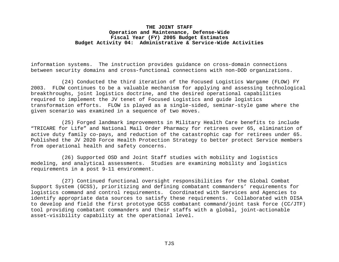information systems. The instruction provides guidance on cross-domain connections between security domains and cross-functional connections with non-DOD organizations.

(24) Conducted the third iteration of the Focused Logistics Wargame (FLOW) FY 2003. FLOW continues to be a valuable mechanism for applying and assessing technological breakthroughs, joint logistics doctrine, and the desired operational capabilities required to implement the JV tenet of Focused Logistics and guide logistics transformation efforts. FLOW is played as a single-sided, seminar-style game where the given scenario was examined in a sequence of two moves.

(25) Forged landmark improvements in Military Health Care benefits to include "TRICARE for Life" and National Mail Order Pharmacy for retirees over 65, elimination of active duty family co-pays, and reduction of the catastrophic cap for retirees under 65. Published the JV 2020 Force Health Protection Strategy to better protect Service members from operational health and safety concerns.

(26) Supported OSD and Joint Staff studies with mobility and logistics modeling, and analytical assessments. Studies are examining mobility and logistics requirements in a post 9-11 environment.

(27) Continued functional oversight responsibilities for the Global Combat Support System (GCSS), prioritizing and defining combatant commanders' requirements for logistics command and control requirements. Coordinated with Services and Agencies to identify appropriate data sources to satisfy these requirements. Collaborated with DISA to develop and field the first prototype GCSS combatant command/joint task force (CC/JTF) tool providing combatant commanders and their staffs with a global, joint-actionable asset-visibility capability at the operational level.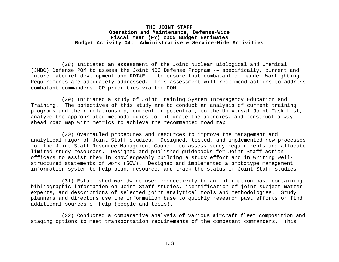(28) Initiated an assessment of the Joint Nuclear Biological and Chemical (JNBC) Defense POM to assess the Joint NBC Defense Program -– specifically, current and future materie1 development and RDT&E -- to ensure that combatant commander Warfighting Requirements are adequately addressed. This assessment will recommend actions to address combatant commanders' CP priorities via the POM.

(29) Initiated a study of Joint Training System Interagency Education and Training. The objectives of this study are to conduct an analysis of current training programs and their relationship, current or potential, to the Universal Joint Task List, analyze the appropriated methodologies to integrate the agencies, and construct a wayahead road map with metrics to achieve the recommended road map.

(30) Overhauled procedures and resources to improve the management and analytical rigor of Joint Staff studies. Designed, tested, and implemented new processes for the Joint Staff Resource Management Council to assess study requirements and allocate limited study resources. Designed and published guidebooks for Joint Staff action officers to assist them in knowledgeably building a study effort and in writing wellstructured statements of work (SOW). Designed and implemented a prototype management information system to help plan, resource, and track the status of Joint Staff studies.

(31) Established worldwide user connectivity to an information base containing bibliographic information on Joint Staff studies, identification of joint subject matter experts, and descriptions of selected joint analytical tools and methodologies. Study planners and directors use the information base to quickly research past efforts or find additional sources of help (people and tools).

(32) Conducted a comparative analysis of various aircraft fleet composition and staging options to meet transportation requirements of the combatant commanders. This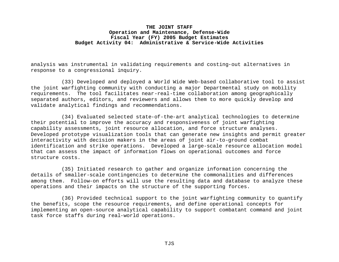analysis was instrumental in validating requirements and costing-out alternatives in response to a congressional inquiry.

(33) Developed and deployed a World Wide Web-based collaborative tool to assist the joint warfighting community with conducting a major Departmental study on mobility requirements. The tool facilitates near-real-time collaboration among geographically separated authors, editors, and reviewers and allows them to more quickly develop and validate analytical findings and recommendations.

(34) Evaluated selected state-of-the-art analytical technologies to determine their potential to improve the accuracy and responsiveness of joint warfighting capability assessments, joint resource allocation, and force structure analyses. Developed prototype visualization tools that can generate new insights and permit greater interactivity with decision makers in the areas of joint air-to-ground combat identification and strike operations. Developed a large-scale resource allocation model that can assess the impact of information flows on operational outcomes and force structure costs.

(35) Initiated research to gather and organize information concerning the details of smaller-scale contingencies to determine the commonalities and differences among them.Follow-on efforts will use the resulting data and database to analyze these operations and their impacts on the structure of the supporting forces.

(36) Provided technical support to the joint warfighting community to quantify the benefits, scope the resource requirements, and define operational concepts for implementing an open-source analytical capability to support combatant command and joint task force staffs during real-world operations.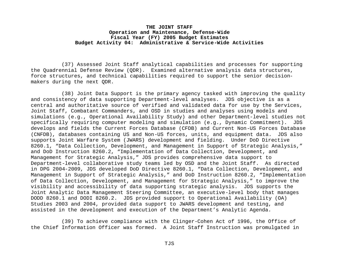(37) Assessed Joint Staff analytical capabilities and processes for supporting the Quadrennial Defense Review (QDR). Examined alternative analysis data structures, force structures, and technical capabilities required to support the senior decisionmakers during the next QDR.

(38) Joint Data Support is the primary agency tasked with improving the quality and consistency of data supporting Department-level analyses. JDS objective is as a central and authoritative source of verified and validated data for use by the Services, Joint Staff, Combatant Commanders, and OSD in studies and analyses using models and simulations (e.g., Operational Availability Study) and other Department-level studies not specifically requiring computer modeling and simulation (e.g., Dynamic Commitment). JDS develops and fields the Current Forces Database (CFDB) and Current Non-US Forces Database (CNFDB), databases containing US and Non-US forces, units, and equipment data. JDS also supports Joint Warfare System (JWARS) development and fielding. Under DoD Directive 8260.1, "Data Collection, Development, and Management in Support of Strategic Analysis," and DoD Instruction 8260.2, "Implementation of Data Collection, Development, and Management for Strategic Analysis," JDS provides comprehensive data support to Department-level collaborative study teams led by OSD and the Joint Staff. As directed in DPG 2004-2009, JDS developed DoD Directive 8260.1, "Data Collection, Development, and Management in Support of Strategic Analysis," and DoD Instruction 8260.2, "Implementation of Data Collection, Development, and Management for Strategic Analysis," to improve the visibility and accessibility of data supporting strategic analysis. JDS supports the Joint Analytic Data Management Steering Committee, an executive-level body that manages DODD 8260.1 and DODI 8260.2. JDS provided support to Operational Availability (OA) Studies 2003 and 2004, provided data support to JWARS development and testing, and assisted in the development and execution of the Department's Analytic Agenda.

(39) To achieve compliance with the Clinger-Cohen Act of 1996, the Office of the Chief Information Officer was formed. A Joint Staff Instruction was promulgated in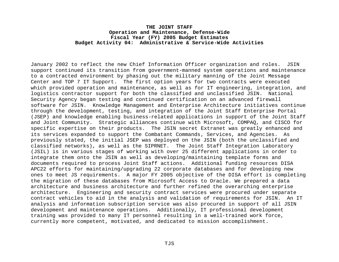January 2002 to reflect the new Chief Information Officer organization and roles. JSIN support continued its transition from government-manned system operations and maintenance to a contracted environment by phasing out the military manning of the Joint Message Center and TOP 7 IT Support. The first option years for two contracts were executed which provided operation and maintenance, as well as for IT engineering, integration, and logistics contractor support for both the classified and unclassified JSIN. National Security Agency began testing and continued certification on an advanced firewall software for JSIN. Knowledge Management and Enterprise Architecture initiatives continue through the development, testing, and integration of the Joint Staff Enterprise Portal (JSEP) and knowledge enabling business-related applications in support of the Joint Staff and Joint Community. Strategic alliances continue with Microsoft, COMPAQ, and CISCO for specific expertise on their products. The JSIN secret Extranet was greatly enhanced and its services expanded to support the Combatant Commands, Services, and Agencies. As previously stated, the initial JSEP was deployed on the JSIN (both the unclassified and classified networks), as well as the SIPRNET. The Joint Staff Integration Laboratory (JSIL) is in various stages of working with over 25 different applications in order to integrate them onto the JSIN as well as developing/maintaining template forms and documents required to process Joint Staff actions. Additional funding resources DISA APC22 efforts for maintaining/upgrading 22 corporate databases and for developing new ones to meet JS requirements. A major FY 2005 objective of the DISA effort is completing the migration of these databases from Microsoft Access to Oracle. We prepared a data architecture and business architecture and further refined the overarching enterprise architecture. Engineering and security contract services were procured under separate contract vehicles to aid in the analysis and validation of requirements for JSIN. An IT analysis and information subscription service was also procured in support of all JSIN development and maintenance operations. Additionally, IT professional development training was provided to many IT personnel resulting in a well-trained work force, currently more competent, motivated, and dedicated to mission accomplishment.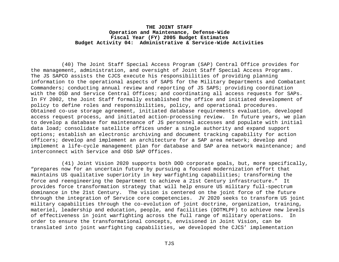(40) The Joint Staff Special Access Program (SAP) Central Office provides for the management, administration, and oversight of Joint Staff Special Access Programs. The JS SAPCO assists the CJCS execute his responsibilities of providing planning information to the operational aspects of SAPS for the Military Departments and Combatant Commanders; conducting annual review and reporting of JS SAPS; providing coordination with the OSD and Service Central Offices; and coordinating all access requests for SAPs. In FY 2002, the Joint Staff formally established the office and initiated development of policy to define roles and responsibilities, policy, and operational procedures. Obtained co-use storage agreement, initiated database requirements evaluation, developed access request process, and initiated action-processing review. In future years, we plan to develop a database for maintenance of JS personnel accesses and populate with initial data load; consolidate satellite offices under a single authority and expand support options; establish an electronic archiving and document tracking capability for action officers; develop and implement an architecture for a SAP area network; develop and implement a life-cycle management plan for database and SAP area network maintenance; and interconnect with Service and OSD SAP Offices.

(41) Joint Vision 2020 supports both DOD corporate goals, but, more specifically, "prepares now for an uncertain future by pursuing a focused modernization effort that maintains US qualitative superiority in key warfighting capabilities; transforming the force and reengineering the Department to achieve a 21st Century infrastructure." It provides force transformation strategy that will help ensure US military full-spectrum dominance in the 21st Century. The vision is centered on the joint force of the future through the integration of Service core competencies. JV 2020 seeks to transform US joint military capabilities through the co-evolution of joint doctrine, organization, training, materiel, leadership and education, people, and facilities (DOTMLPF) to achieve new levels of effectiveness in joint warfighting across the full range of military operations. In order to ensure the transformational concepts, envisioned in Joint Vision, can be translated into joint warfighting capabilities, we developed the CJCS' implementation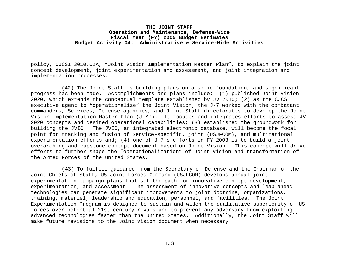policy, CJCSI 3010.02A, "Joint Vision Implementation Master Plan", to explain the joint concept development, joint experimentation and assessment, and joint integration and implementation processes*.*

(42) The Joint Staff is building plans on a solid foundation, and significant progress has been made. Accomplishments and plans include: (1) published Joint Vision 2020, which extends the conceptual template established by JV 2010; (2) as the CJCS executive agent to "operationalize" the Joint Vision, the J-7 worked with the combatant commanders, Services, Defense agencies, and Joint Staff directorates to develop the Joint Vision Implementation Master Plan (JIMP). It focuses and integrates efforts to assess JV 2020 concepts and desired operational capabilities; (3) established the groundwork for building the JVIC. The JVIC, an integrated electronic database, will become the focal point for tracking and fusion of Service-specific, joint (USJFCOM), and multinational experimentation efforts and; (4) one of J-7's efforts in FY 2003 is to build a joint overarching and capstone concept document based on Joint Vision. This concept will drive efforts to further shape the "operationalization" of Joint Vision and transformation of the Armed Forces of the United States.

(43) To fulfill guidance from the Secretary of Defense and the Chairman of the Joint Chiefs of Staff, US Joint Forces Command (USJFCOM) develops annual joint experimentation campaign plans that set the path for innovative concept development, experimentation, and assessment. The assessment of innovative concepts and leap-ahead technologies can generate significant improvements to joint doctrine, organizations, training, materiel, leadership and education, personnel, and facilities. The Joint Experimentation Program is designed to sustain and widen the qualitative superiority of US forces over potential 21st century rivals and to prevent any adversary from exploiting advanced technologies faster than the United States. Additionally, the Joint Staff will make future revisions to the Joint Vision document when necessary.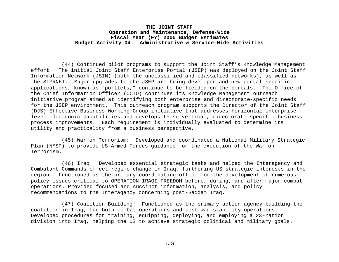(44) Continued pilot programs to support the Joint Staff's Knowledge Management effort. The initial Joint Staff Enterprise Portal (JSEP) was deployed on the Joint Staff Information Network (JSIN) (both the unclassified and classified networks), as well as the SIPRNET. Major upgrades to the JSEP are being developed and new portal-specific applications, known as "portlets," continue to be fielded on the portals. The Office of the Chief Information Officer (OCIO) continues its Knowledge Management outreach initiative program aimed at identifying both enterprise and directorate-specific needs for the JSEP environment. This outreach program supports the Director of the Joint Staff (DJS) Effective Business Working Group initiative that addresses horizontal enterpriselevel electronic capabilities and develops those vertical, directorate-specific business process improvements. Each requirement is individually evaluated to determine its utility and practicality from a business perspective.

(45) War on Terrorism: Developed and coordinated a National Military Strategic Plan (NMSP) to provide US Armed Forces guidance for the execution of the War on Terrorism.

(46) Iraq: Developed essential strategic tasks and helped the Interagency and Combatant Commands effect regime change in Iraq, furthering US strategic interests in the region. Functioned as the primary coordinating office for the development of numerous policy issues critical to OPERATION IRAQI FREEDOM before, during, and after major combat operations. Provided focused and succinct information, analysis, and policy recommendations to the Interagency concerning post-Saddam Iraq.

(47) Coalition Building: Functioned as the primary action agency building the coalition in Iraq, for both combat operations and post-war stability operations. Developed procedures for training, equipping, deploying, and employing a 23-nation division into Iraq, helping the US to achieve strategic political and military goals.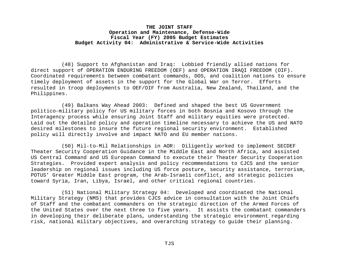(48) Support to Afghanistan and Iraq: Lobbied friendly allied nations for direct support of OPERATION ENDURING FREEDOM (OEF) and OPERATION IRAQI FREEDOM (OIF). Coordinated requirements between combatant commands, DOS, and coalition nations to ensure timely deployment of assets in the support for the Global War on Terror. Efforts resulted in troop deployments to OEF/OIF from Australia, New Zealand, Thailand, and the Philippines.

(49) Balkans Way Ahead 2003: Defined and shaped the best US Government politico-military policy for US military forces in both Bosnia and Kosovo through the Interagency process while ensuring Joint Staff and military equities were protected. Laid out the detailed policy and operation timeline necessary to achieve the US and NATO desired milestones to insure the future regional security environment. Established policy will directly involve and impact NATO and EU member nations.

(50) Mil-to-Mil Relationships in AOR: Diligently worked to implement SECDEF Theater Security Cooperation Guidance in the Middle East and North Africa, and assisted US Central Command and US European Command to execute their Theater Security Cooperation Strategies. Provided expert analysis and policy recommendations to CJCS and the senior leadership on regional issues including US force posture, security assistance, terrorism, POTUS' Greater Middle East program, the Arab-Israeli conflict, and strategic policies toward Syria, Iran, Libya, Israel, and other critical regional countries.

(51) National Military Strategy 04: Developed and coordinated the National Military Strategy (NMS) that provides CJCS advice in consultation with the Joint Chiefs of Staff and the combatant commanders on the strategic direction of the Armed Forces of the United States over the next three to five years. It assists the combatant commanders in developing their deliberate plans, understanding the strategic environment regarding risk, national military objectives, and overarching strategy to guide their planning.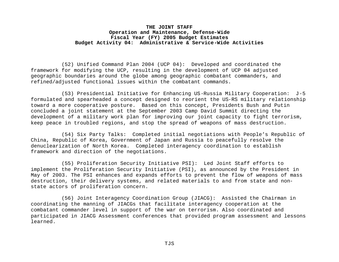(52) Unified Command Plan 2004 (UCP 04): Developed and coordinated the framework for modifying the UCP, resulting in the development of UCP 04 adjusted geographic boundaries around the globe among geographic combatant commanders, and refined/adjusted functional issues within the combatant commands.

(53) Presidential Initiative for Enhancing US-Russia Military Cooperation: J-5 formulated and spearheaded a concept designed to reorient the US-RS military relationship toward a more cooperative posture. Based on this concept, Presidents Bush and Putin concluded a joint statement at the September 2003 Camp David Summit directing the development of a military work plan for improving our joint capacity to fight terrorism, keep peace in troubled regions, and stop the spread of weapons of mass destruction.

(54) Six Party Talks: Completed initial negotiations with People's Republic of China, Republic of Korea, Government of Japan and Russia to peacefully resolve the denuclearization of North Korea. Completed interagency coordination to establish framework and direction of the negotiations.

(55) Proliferation Security Initiative PSI): Led Joint Staff efforts to implement the Proliferation Security Initiative (PSI), as announced by the President in May of 2003. The PSI enhances and expands efforts to prevent the flow of weapons of mass destruction, their delivery systems, and related materials to and from state and nonstate actors of proliferation concern.

(56) Joint Interagency Coordination Group (JIACG): Assisted the Chairman in coordinating the manning of JIACGs that facilitate interagency cooperation at the combatant commander level in support of the war on terrorism. Also coordinated and participated in JIACG Assessment conferences that provided program assessment and lessons learned.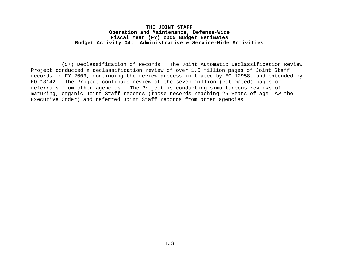(57) Declassification of Records: The Joint Automatic Declassification Review Project conducted a declassification review of over 1.5 million pages of Joint Staff records in FY 2003, continuing the review process initiated by EO 12958, and extended by EO 13142. The Project continues review of the seven million (estimated) pages of referrals from other agencies. The Project is conducting simultaneous reviews of maturing, organic Joint Staff records (those records reaching 25 years of age IAW the Executive Order) and referred Joint Staff records from other agencies.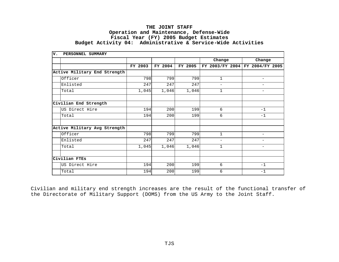| v. | PERSONNEL SUMMARY            |         |         |         |                           |                          |
|----|------------------------------|---------|---------|---------|---------------------------|--------------------------|
|    |                              |         |         |         | Change                    | Change                   |
|    |                              | FY 2003 | FY 2004 | FY 2005 | 2003/FY 2004<br><b>FY</b> | FY 2004/FY 2005          |
|    | Active Military End Strength |         |         |         |                           |                          |
|    | Officer                      | 798     | 799     | 799     | $\mathbf{1}$              | $\overline{\phantom{0}}$ |
|    | Enlisted                     | 247     | 247     | 247     | $\overline{\phantom{m}}$  | $\overline{\phantom{0}}$ |
|    | Total                        | 1,045   | 1,046   | 1,046   | $\mathbf 1$               | $\qquad \qquad -$        |
|    |                              |         |         |         |                           |                          |
|    | Civilian End Strength        |         |         |         |                           |                          |
|    | US Direct Hire               | 194     | 200     | 199     | 6                         | $-1$                     |
|    | Total                        | 194     | 200     | 199     | 6                         | $-1$                     |
|    |                              |         |         |         |                           |                          |
|    | Active Military Avg Strength |         |         |         |                           |                          |
|    | Officer                      | 798     | 799     | 799     | $\mathbf{1}$              | -                        |
|    | Enlisted                     | 247     | 247     | 247     | $\overline{\phantom{0}}$  | $\overline{\phantom{0}}$ |
|    | Total                        | 1,045   | 1,046   | 1,046   | $\mathbf 1$               | $\overline{\phantom{0}}$ |
|    |                              |         |         |         |                           |                          |
|    | Civilian FTEs                |         |         |         |                           |                          |
|    | US Direct Hire               | 194     | 200     | 199     | 6                         | $-1$                     |
|    | Total                        | 194     | 200     | 199     | 6                         | $-1$                     |

Civilian and military end strength increases are the result of the functional transfer of the Directorate of Military Support (DOMS) from the US Army to the Joint Staff.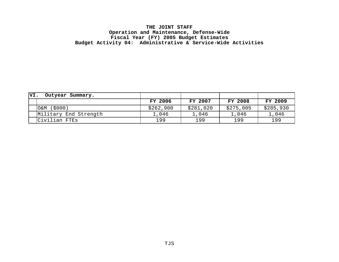| VI. | Outyear Summary.      |           |                |           |                |
|-----|-----------------------|-----------|----------------|-----------|----------------|
|     |                       | FY 2006   | <b>FY 2007</b> | FY 2008   | <b>FY 2009</b> |
|     | O&M (\$000)           | \$262,900 | \$281,020      | \$275,005 | \$285,930      |
|     | Military End Strength | 1,046     | 1,046          | 1,046     | 1,046          |
|     | Civilian FTEs         | 199       | 199            | 199       | 199            |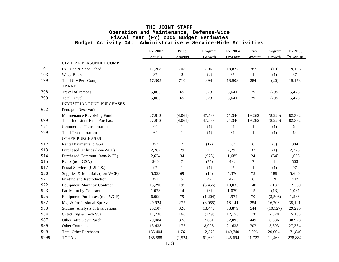|      |                                        | FY 2003        | Price            | Program  | FY 2004 | Price        | Program   | FY2005  |
|------|----------------------------------------|----------------|------------------|----------|---------|--------------|-----------|---------|
|      |                                        | <b>Actuals</b> | Amount           | Growth   | Program | Amount       | Growth    | Program |
|      | CIVILIAN PERSONNEL COMP                |                |                  |          |         |              |           |         |
| 101  | Ex., Gen & Spec Sched                  | 17,268         | 708              | 896      | 18,872  | 283          | (19)      | 19,136  |
| 103  | Wage Board                             | 37             | $\overline{c}$   | (2)      | 37      | $\mathbf{1}$ | (1)       | 37      |
| 199  | Total Civ Pers Comp.                   | 17,305         | 710              | 894      | 18,909  | 284          | (20)      | 19,173  |
|      | <b>TRAVEL</b>                          |                |                  |          |         |              |           |         |
| 308  | <b>Travel of Persons</b>               | 5,003          | 65               | 573      | 5,641   | 79           | (295)     | 5,425   |
| 399  | <b>Total Travel</b>                    | 5,003          | 65               | 573      | 5,641   | 79           | (295)     | 5,425   |
|      | <b>INDUSTRIAL FUND PURCHASES</b>       |                |                  |          |         |              |           |         |
| 672  | Pentagon Reservation                   |                |                  |          |         |              |           |         |
|      | Maintenance Revolving Fund             | 27,812         | (4,061)          | 47,589   | 71,340  | 19,262       | (8,220)   | 82,382  |
| 699  | <b>Total Industrial Fund Purchases</b> | 27,812         | (4,061)          | 47,589   | 71,340  | 19,262       | (8,220)   | 82,382  |
| 771  | <b>Commercial Transportation</b>       | 64             | $\mathbf{1}$     | (1)      | 64      | 1            | (1)       | 64      |
| 799  | <b>Total Transportation</b>            | 64             | $\mathbf{1}$     | (1)      | 64      | 1            | (1)       | 64      |
|      | <b>OTHER PURCHASES</b>                 |                |                  |          |         |              |           |         |
| 912  | Rental Payments to GSA                 | 394            | 7                | (17)     | 384     | 6            | (6)       | 384     |
| 913  | Purchased Utilities (non-WCF)          | 2,262          | 29               | 1        | 2,292   | 32           | (1)       | 2,323   |
| 914  | Purchased Commun. (non-WCF)            | 2,624          | 34               | (973)    | 1,685   | 24           | (54)      | 1,655   |
| 915  | Rents (non-GSA)                        | 560            | $\boldsymbol{7}$ | (75)     | 492     | $\tau$       | 4         | 503     |
| 917  | Postal Services (U.S.P.S.)             | 97             | $\mathbf{1}$     | (1)      | 97      | $\mathbf{1}$ | (1)       | 97      |
| 920  | Supplies & Materials (non-WCF)         | 5,323          | 69               | (16)     | 5,376   | 75           | 189       | 5,640   |
| 921  | Printing and Reproduction              | 391            | 5                | 26       | 422     | 6            | 19        | 447     |
| 922  | <b>Equipment Maint by Contract</b>     | 15,290         | 199              | (5, 456) | 10,033  | 140          | 2,187     | 12,360  |
| 923  | Fac Maint by Contract                  | 1,073          | 14               | (8)      | 1,079   | 15           | (13)      | 1,081   |
| 925  | Equipment Purchases (non-WCF)          | 6,099          | 79               | (1,204)  | 4,974   | 70           | (3,506)   | 1,538   |
| 932  | Mgt & Professional Spt Svs             | 20,924         | 272              | (3,055)  | 18,141  | 254          | 16,706    | 35,101  |
| 933  | Studies, Analysis & Evaluations        | 25,107         | 326              | 13,446   | 38,879  | 544          | (10, 127) | 29,296  |
| 934  | Cntrct Eng & Tech Svs                  | 12,738         | 166              | (749)    | 12,155  | 170          | 2,828     | 15,153  |
| 987  | Other Intra Gov't Purch                | 29,084         | 378              | 2,631    | 32,093  | 449          | 6,386     | 38,928  |
| 989  | <b>Other Contracts</b>                 | 13,438         | 175              | 8,025    | 21,638  | 303          | 5,393     | 27,334  |
| 999  | <b>Total Other Purchases</b>           | 135,404        | 1,761            | 12,575   | 149,740 | 2,096        | 20,004    | 171,840 |
| 9999 | <b>TOTAL</b>                           | 185,588        | (1,524)          | 61,630   | 245,694 | 21,722       | 11,468    | 278,884 |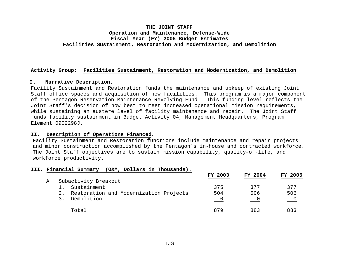# **THE JOINT STAFF Operation and Maintenance, Defense-Wide Fiscal Year (FY) 2005 Budget Estimates Facilities Sustainment, Restoration and Modernization, and Demolition**

## **Activity Group: Facilities Sustainment, Restoration and Modernization, and Demolition**

#### **I. Narrative Description.**

Facility Sustainment and Restoration funds the maintenance and upkeep of existing Joint Staff office spaces and acquisition of new facilities. This program is a major component of the Pentagon Reservation Maintenance Revolving Fund. This funding level reflects the Joint Staff's decision of how best to meet increased operational mission requirements, while sustaining an austere level of facility maintenance and repair. The Joint Staff funds facility sustainment in Budget Activity 04, Management Headquarters, Program Element 0902298J.

## **II. Description of Operations Financed.**

Facility Sustainment and Restoration functions include maintenance and repair projects and minor construction accomplished by the Pentagon's in-house and contracted workforce. The Joint Staff objectives are to sustain mission capability, quality-of-life, and workforce productivity.

#### **III. Financial Summary (O&M, Dollars in Thousands).**

|    |                                           | FY 2003 | FY 2004 | <b>FY 2005</b> |
|----|-------------------------------------------|---------|---------|----------------|
| А. | Subactivity Breakout                      |         |         |                |
|    | Sustainment                               | 375     | 377     | 377            |
|    | 2. Restoration and Modernization Projects | 504     | 506     | 506            |
|    | Demolition                                |         |         |                |
|    | Total                                     | 879     | 883     | 883            |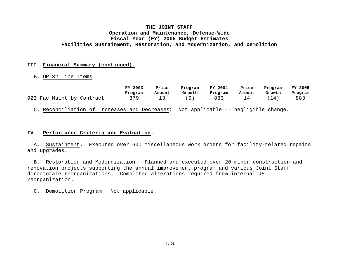# **THE JOINT STAFF Operation and Maintenance, Defense-Wide Fiscal Year (FY) 2005 Budget Estimates Facilities Sustainment, Restoration, and Modernization, and Demolition**

## **III. Financial Summary (continued).**

#### B. OP-32 Line Items

|                                                                                    | FY 2003 | Price  |        | FY 2004 | Price  | Program | FY 2005 |
|------------------------------------------------------------------------------------|---------|--------|--------|---------|--------|---------|---------|
|                                                                                    | Program | Amount | Growth | Program | Amount | Growth  | Program |
| 923 Fac Maint by Contract                                                          | 879     | 13     | (9)    | 883     | 14     | (14)    | 883     |
| C. Reconciliation of Increases and Decreases: Not applicable -- negligible change. |         |        |        |         |        |         |         |

#### **IV. Performance Criteria and Evaluation.**

 A. Sustainment. Executed over 600 miscellaneous work orders for facility-related repairs and upgrades.

 B. Restoration and Modernization. Planned and executed over 20 minor construction and renovation projects supporting the annual improvement program and various Joint Staff directorate reorganizations. Completed alterations required from internal J5 reorganization.

C. Demolition Program. Not applicable.